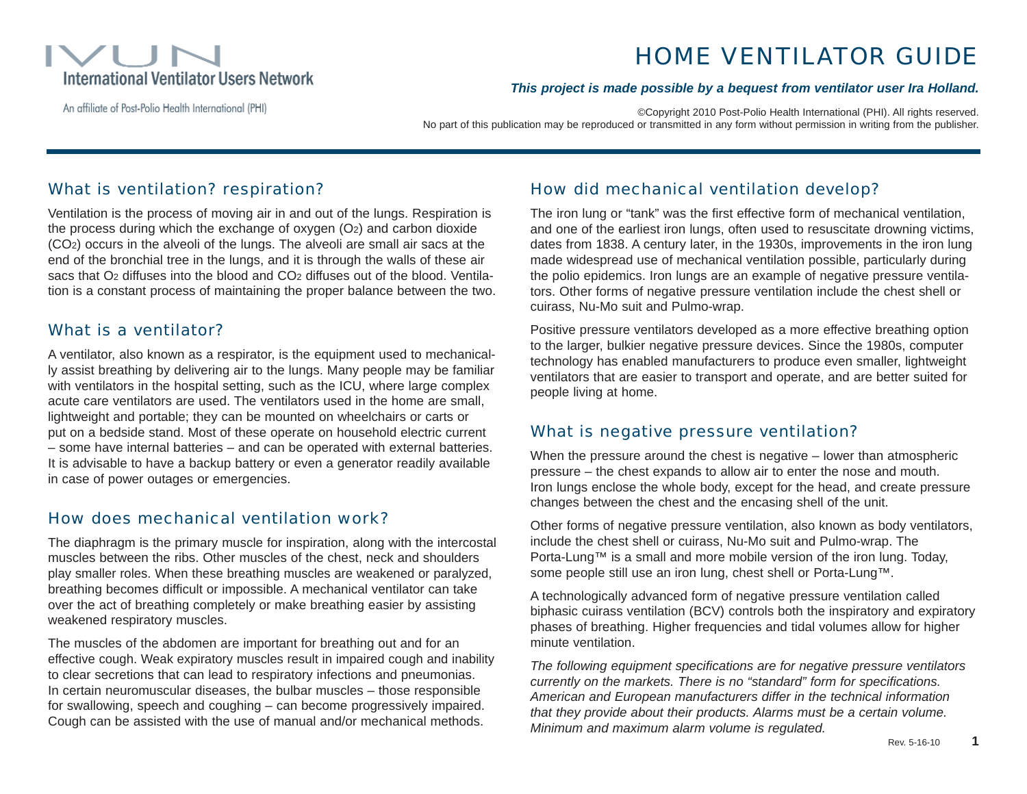

# HOME VENTILATOR GUIDE

#### An affiliate of Post-Polio Health International (PHI)

©Copyright 2010 Post-Polio Health International (PHI). All rights reserved.

*This project is made possible by a bequest from ventilator user Ira Holland.*

No part of this publication may be reproduced or transmitted in any form without permission in writing from the publisher.

## What is ventilation? respiration?

Ventilation is the process of moving air in and out of the lungs. Respiration is the process during which the exchange of oxygen (O2) and carbon dioxide (CO2) occurs in the alveoli of the lungs. The alveoli are small air sacs at the end of the bronchial tree in the lungs, and it is through the walls of these air sacs that O<sub>2</sub> diffuses into the blood and CO<sub>2</sub> diffuses out of the blood. Ventilation is a constant process of maintaining the proper balance between the two.

## What is a ventilator?

A ventilator, also known as a respirator, is the equipment used to mechanically assist breathing by delivering air to the lungs. Many people may be familiar with ventilators in the hospital setting, such as the ICU, where large complex acute care ventilators are used. The ventilators used in the home are small, lightweight and portable; they can be mounted on wheelchairs or carts or put on a bedside stand. Most of these operate on household electric current – some have internal batteries – and can be operated with external batteries. It is advisable to have a backup battery or even a generator readily available in case of power outages or emergencies.

## How does mechanical ventilation work?

The diaphragm is the primary muscle for inspiration, along with the intercostal muscles between the ribs. Other muscles of the chest, neck and shoulders play smaller roles. When these breathing muscles are weakened or paralyzed, breathing becomes difficult or impossible. A mechanical ventilator can take over the act of breathing completely or make breathing easier by assisting weakened respiratory muscles.

The muscles of the abdomen are important for breathing out and for an effective cough. Weak expiratory muscles result in impaired cough and inability to clear secretions that can lead to respiratory infections and pneumonias. In certain neuromuscular diseases, the bulbar muscles – those responsible for swallowing, speech and coughing – can become progressively impaired. Cough can be assisted with the use of manual and/or mechanical methods.

## How did mechanical ventilation develop?

The iron lung or "tank" was the first effective form of mechanical ventilation, and one of the earliest iron lungs, often used to resuscitate drowning victims, dates from 1838. A century later, in the 1930s, improvements in the iron lung made widespread use of mechanical ventilation possible, particularly during the polio epidemics. Iron lungs are an example of negative pressure ventilators. Other forms of negative pressure ventilation include the chest shell or cuirass, Nu-Mo suit and Pulmo-wrap.

Positive pressure ventilators developed as a more effective breathing option to the larger, bulkier negative pressure devices. Since the 1980s, computer technology has enabled manufacturers to produce even smaller, lightweight ventilators that are easier to transport and operate, and are better suited for people living at home.

## What is negative pressure ventilation?

When the pressure around the chest is negative – lower than atmospheric pressure – the chest expands to allow air to enter the nose and mouth. Iron lungs enclose the whole body, except for the head, and create pressure changes between the chest and the encasing shell of the unit.

Other forms of negative pressure ventilation, also known as body ventilators, include the chest shell or cuirass, Nu-Mo suit and Pulmo-wrap. The Porta-Lung™ is a small and more mobile version of the iron lung. Today, some people still use an iron lung, chest shell or Porta-Lung™.

A technologically advanced form of negative pressure ventilation called biphasic cuirass ventilation (BCV) controls both the inspiratory and expiratory phases of breathing. Higher frequencies and tidal volumes allow for higher minute ventilation.

*The following equipment specifications are for negative pressure ventilators currently on the markets. There is no "standard" form for specifications. American and European manufacturers differ in the technical information that they provide about their products. Alarms must be a certain volume. Minimum and maximum alarm volume is regulated.*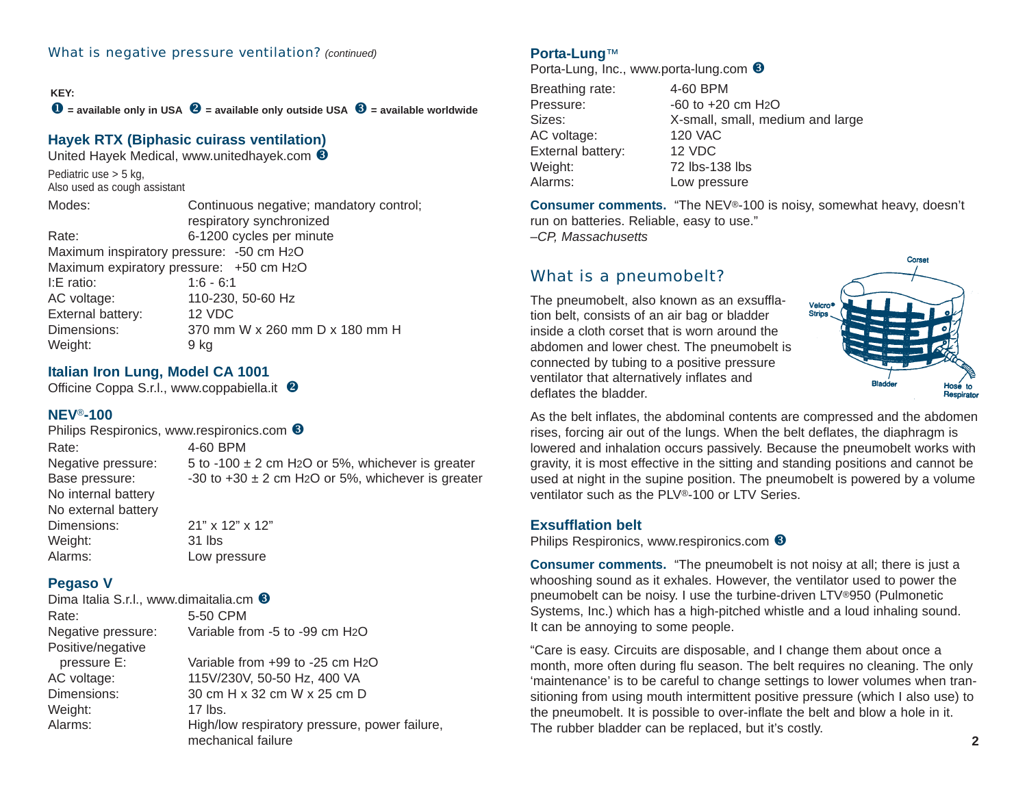#### **KEY:**

X **= available only in USA** Y **= available only outside USA** Z **= available worldwide**

## **Hayek RTX (Biphasi[c cuirass ventilatio](http://www.unitedhayek.com)n)**

United Hayek Medical, www.unitedhayek.com <sup>6</sup>

Pediatric use > 5 kg, Also used as cough assistant

Modes: Continuous negative; mandatory control; respiratory synchronized Rate: 6-1200 cycles per minute Maximum inspiratory pressure: -50 cm H2O Maximum expiratory pressure: +50 cm H2O I:E ratio: 1:6 - 6:1 AC voltage: 110-230, 50-60 Hz External battery: 12 VDC Dimensions: 370 mm W x 260 mm D x 180 mm H Weight: 9 kg

### **Italian Iron Lung, Model CA 1001**

Officine Coppa S.r.l., [www.coppabiella.it](http://www.coppabiella.it) <sup>@</sup>

#### **NEV** ®**-100**

Philips Respironics, [www.respironics.com](http://www.respironics.com) <sup>6</sup> Rate: 4-60 BPM Negative pressure:  $5 \text{ to } -100 \pm 2 \text{ cm}$  H<sub>2</sub>O or 5%, whichever is greater Base pressure:  $-30$  to  $+30 \pm 2$  cm H<sub>2</sub>O or 5%, whichever is greater No internal battery No external battery Dimensions: 21" x 12" x 12" Weight: 31 lbs Alarms: Low pressure

#### **Pegaso V**

| Dima Italia S.r.l., www.dimaitalia.cm <sup>6</sup> |                                               |
|----------------------------------------------------|-----------------------------------------------|
| Rate:                                              | 5-50 CPM                                      |
| Negative pressure:                                 | Variable from -5 to -99 cm H <sub>2</sub> O   |
| Positive/negative                                  |                                               |
| pressure E:                                        | Variable from +99 to -25 cm H <sub>2</sub> O  |
| AC voltage:                                        | 115V/230V, 50-50 Hz, 400 VA                   |
| Dimensions:                                        | 30 cm H x 32 cm W x 25 cm D                   |
| Weight:                                            | 17 lbs.                                       |
| Alarms:                                            | High/low respiratory pressure, power failure, |
|                                                    | mechanical failure                            |

#### **Porta-Lung** ™

Porta-Lung, Inc., [www.porta-lung.com](http://www.porta-lung.com) <sup>6</sup>

| 4-60 BPM                         |
|----------------------------------|
| $-60$ to $+20$ cm $H_2O$         |
| X-small, small, medium and large |
| <b>120 VAC</b>                   |
| 12 VDC                           |
| 72 lbs-138 lbs                   |
| Low pressure                     |
|                                  |

**Consumer comments.** "The NEV ®-100 is noisy, somewhat heavy, doesn't run on batteries. Reliable, easy to use." –*CP, Massachusetts*

## What is a pneumobelt?

The pneumobelt, also known as an exsufflation belt, consists of an air bag or bladder inside a cloth corset that is worn around the abdomen and lower chest. The pneumobelt is connected by tubing to a positive pressure ventilator that alternatively inflates and deflates the bladder.



As the belt inflates, the abdominal contents are compressed and the abdomen rises, forcing air out of the lungs. When the belt deflates, the diaphragm is lowered and inhalation occurs passively. Because the pneumobelt works with gravity, it is most effective in the sitting and standing positions and cannot be used at night in the supine position. The pneumobelt is powered by a volume ventilator such as the PLV ®-100 or LTV Series.

#### **Exsufflation belt**

Philips Respironics, [www.respironics.com](http://www.respironics.com) <sup>6</sup>

**Consumer comments.** "The pneumobelt is not noisy at all; there is just a whooshing sound as it exhales. However, the ventilator used to power the pneumobelt can be noisy. I use the turbine-driven LTV ®950 (Pulmonetic Systems, Inc.) which has a high-pitched whistle and a loud inhaling sound. It can be annoying to some people.

"Care is easy. Circuits are disposable, and I change them about once a month, more often during flu season. The belt requires no cleaning. The only 'maintenance' is to be careful to change settings to lower volumes when transitioning from using mouth intermittent positive pressure (which I also use) to the pneumobelt. It is possible to over-inflate the belt and blow a hole in it. The rubber bladder can be replaced, but it's costly.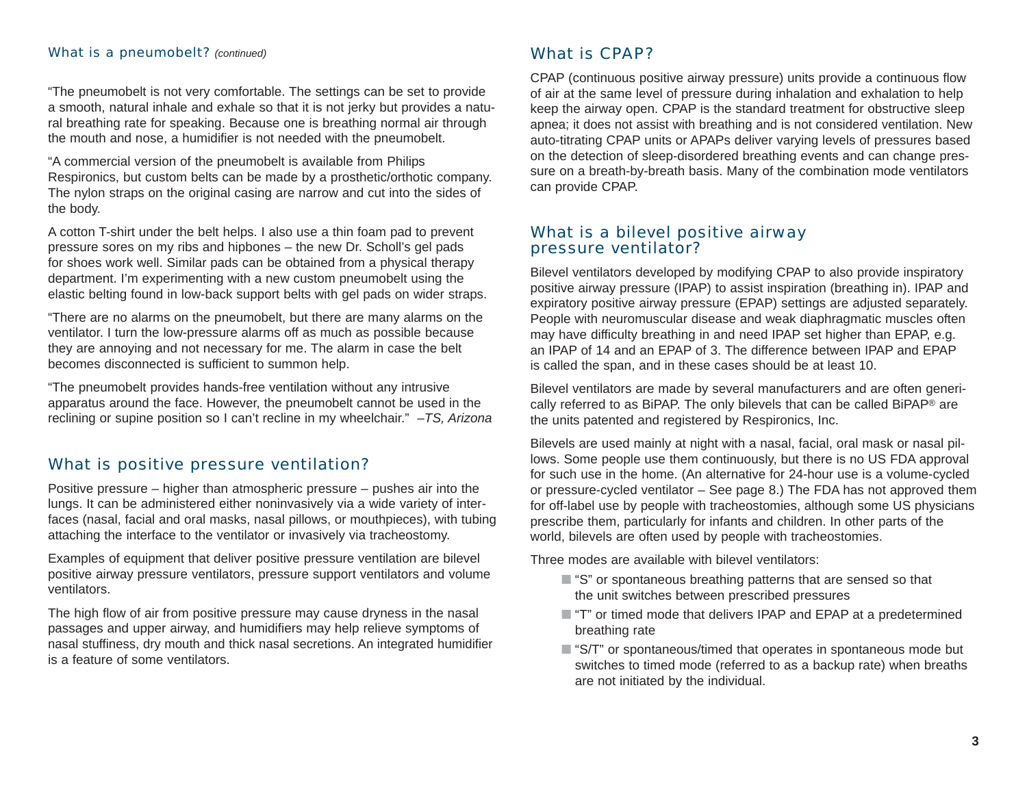#### What is a pneumobelt? *(continued)*

"The pneumobelt is not very comfortable. The settings can be set to provide a smooth, natural inhale and exhale so that it is not jerky but provides a natural breathing rate for speaking. Because one is breathing normal air through the mouth and nose, a humidifier is not needed with the pneumobelt.

"A commercial version of the pneumobelt is available from Philips Respironics, but custom belts can be made by a prosthetic/orthotic company. The nylon straps on the original casing are narrow and cut into the sides of the body.

A cotton T-shirt under the belt helps. I also use a thin foam pad to prevent pressure sores on my ribs and hipbones – the new Dr. Scholl's gel pads for shoes work well. Similar pads can be obtained from a physical therapy department. I'm experimenting with a new custom pneumobelt using the elastic belting found in low-back support belts with gel pads on wider straps.

"There are no alarms on the pneumobelt, but there are many alarms on the ventilator. I turn the low-pressure alarms off as much as possible because they are annoying and not necessary for me. The alarm in case the belt becomes disconnected is sufficient to summon help.

"The pneumobelt provides hands-free ventilation without any intrusive apparatus around the face. However, the pneumobelt cannot be used in the reclining or supine position so I can't recline in my wheelchair." –*TS, Arizona*

## What is positive pressure ventilation?

Positive pressure – higher than atmospheric pressure – pushes air into the lungs. It can be administered either noninvasively via a wide variety of interfaces (nasal, facial and oral masks, nasal pillows, or mouthpieces), with tubing attaching the interface to the ventilator or invasively via tracheostomy.

Examples of equipment that deliver positive pressure ventilation are bilevel positive airway pressure ventilators, pressure support ventilators and volume ventilators.

The high flow of air from positive pressure may cause dryness in the nasal passages and upper airway, and humidifiers may help relieve symptoms of nasal stuffiness, dry mouth and thick nasal secretions. An integrated humidifier is a feature of some ventilators.

## What is CPAP?

CPAP (continuous positive airway pressure) units provide a continuous flow of air at the same level of pressure during inhalation and exhalation to help keep the airway open. CPAP is the standard treatment for obstructive sleep apnea; it does not assist with breathing and is not considered ventilation. New auto-titrating CPAP units or APAPs deliver varying levels of pressures based on the detection of sleep-disordered breathing events and can change pressure on a breath-by-breath basis. Many of the combination mode ventilators can provide CPAP.

#### What is a bilevel positive airway pressure ventilator?

Bilevel ventilators developed by modifying CPAP to also provide inspiratory positive airway pressure (IPAP) to assist inspiration (breathing in). IPAP and expiratory positive airway pressure (EPAP) settings are adjusted separately. People with neuromuscular disease and weak diaphragmatic muscles often may have difficulty breathing in and need IPAP set higher than EPAP, e.g. an IPAP of 14 and an EPAP of 3. The difference between IPAP and EPAP is called the span, and in these cases should be at least 10.

Bilevel ventilators are made by several manufacturers and are often generically referred to as BiPAP. The only bilevels that can be called BiPAP ® are the units patented and registered by Respironics, Inc.

Bilevels are used mainly at night with a nasal, facial, oral mask or nasal pillows. Some people use them continuously, but there is no US FDA approval for such use in the home. (An alternative for 24-hour use is a volume-cycled or pressure-cycled ventilator – See page 8.) The FDA has not approved them for off-label use by people with tracheostomies, although some US physicians prescribe them, particularly for infants and children. In other parts of the world, bilevels are often used by people with tracheostomies.

Three modes are available with bilevel ventilators:

- $\blacksquare$  "S" or spontaneous breathing patterns that are sensed so that the unit switches between prescribed pressures
- "T" or timed mode that delivers IPAP and EPAP at a predetermined breathing rate
- $\blacksquare$  "S/T" or spontaneous/timed that operates in spontaneous mode but switches to timed mode (referred to as a backup rate) when breaths are not initiated by the individual.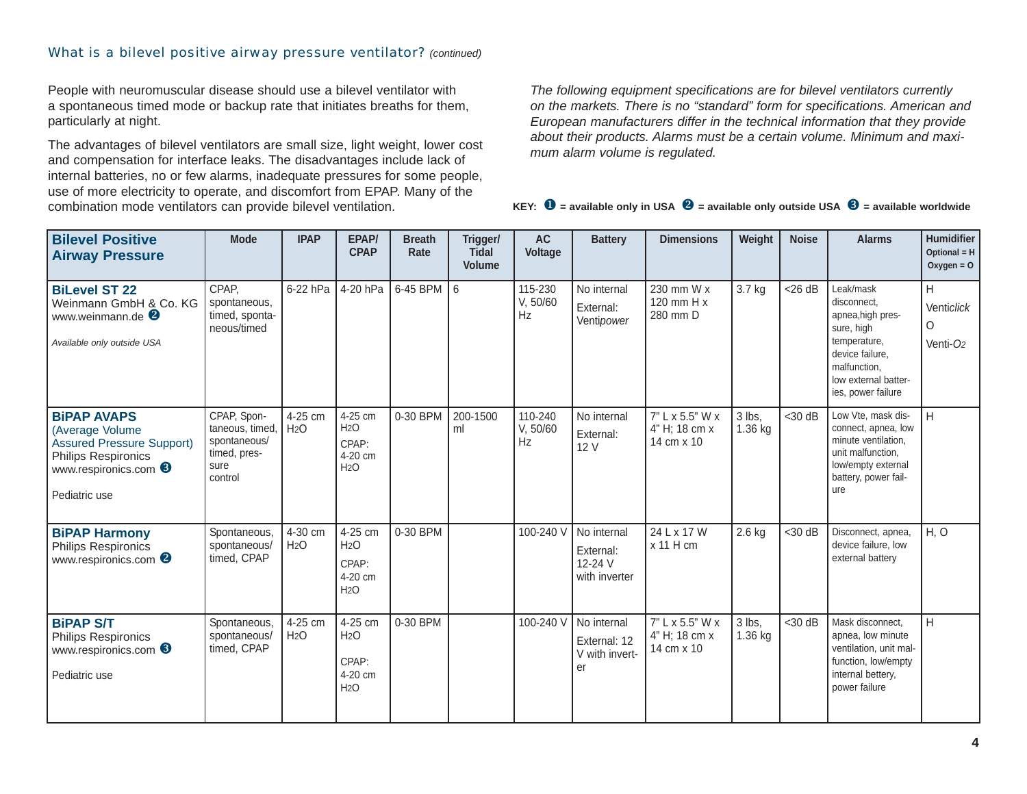#### What is a bilevel positive airway pressure ventilator? *(continued)*

People with neuromuscular disease should use a bilevel ventilator with a spontaneous timed mode or backup rate that initiates breaths for them, particularly at night.

The advantages of bilevel ventilators are small size, light weight, lower cost and compensation for interface leaks. The disadvantages include lack of internal batteries, no or few alarms, inadequate pressures for some people, use of more electricity to operate, and discomfort from EPAP. Many of the combination mode ventilators can provide bilevel ventilation.

*The following equipment specifications are for bilevel ventilators currently on the markets. There is no "standard" form for specifications. American and European manufacturers differ in the technical information that they provide about their products. Alarms must be a certain volume. Minimum and maximum alarm volume is regulated.*

| <b>Bilevel Positive</b><br><b>Airway Pressure</b>                                                                                                            | <b>Mode</b>                                                                       | <b>IPAP</b>                 | EPAP/<br><b>CPAP</b>                                   | <b>Breath</b><br>Rate | Trigger/<br><b>Tidal</b><br><b>Volume</b> | <b>AC</b><br>Voltage      | <b>Battery</b>                                       | <b>Dimensions</b>                              | Weight              | <b>Noise</b> | <b>Alarms</b>                                                                                                                                                | Humidifier<br>Optional = H<br>Oxygen = $O$         |
|--------------------------------------------------------------------------------------------------------------------------------------------------------------|-----------------------------------------------------------------------------------|-----------------------------|--------------------------------------------------------|-----------------------|-------------------------------------------|---------------------------|------------------------------------------------------|------------------------------------------------|---------------------|--------------|--------------------------------------------------------------------------------------------------------------------------------------------------------------|----------------------------------------------------|
| <b>BiLevel ST 22</b><br>Weinmann GmbH & Co. KG<br>www.weinmann.de<br>Available only outside USA                                                              | CPAP.<br>spontaneous,<br>timed, sponta-<br>neous/timed                            | 6-22 hPa                    | 4-20 hPa                                               | 6-45 BPM              | 6                                         | 115-230<br>V, 50/60<br>Hz | No internal<br>External:<br>Ventipower               | 230 mm W x<br>120 mm $H x$<br>280 mm D         | 3.7 kg              | $<$ 26 dB    | Leak/mask<br>disconnect.<br>apnea, high pres-<br>sure, high<br>temperature,<br>device failure.<br>malfunction,<br>low external batter-<br>ies, power failure | H<br>Venticlick<br>$\circ$<br>Venti-O <sub>2</sub> |
| <b>BIPAP AVAPS</b><br>(Average Volume<br><b>Assured Pressure Support)</b><br><b>Philips Respironics</b><br>www.respironics.com <sup>6</sup><br>Pediatric use | CPAP, Spon-<br>taneous, timed,<br>spontaneous/<br>timed, pres-<br>sure<br>control | 4-25 cm<br>H <sub>2</sub> O | 4-25 cm<br>H2O<br>CPAP:<br>4-20 cm<br>H2O              | 0-30 BPM              | 200-1500<br>ml                            | 110-240<br>V, 50/60<br>Hz | No internal<br>External:<br>12 V                     | 7" L x 5.5" W x<br>4" H; 18 cm x<br>14 cm x 10 | 3 lbs,<br>1.36 kg   | $<$ 30 dB    | Low Vte, mask dis-<br>connect, apnea, low<br>minute ventilation,<br>unit malfunction,<br>low/empty external<br>battery, power fail-<br>ure                   | H                                                  |
| <b>BiPAP Harmony</b><br><b>Philips Respironics</b><br>www.respironics.com <sup>2</sup>                                                                       | Spontaneous,<br>spontaneous/<br>timed, CPAP                                       | 4-30 cm<br>H <sub>2</sub> O | 4-25 cm<br>H <sub>2</sub> O<br>CPAP:<br>4-20 cm<br>H2O | 0-30 BPM              |                                           | 100-240 V                 | No internal<br>External:<br>12-24 V<br>with inverter | 24 L x 17 W<br>x 11 H cm                       | $2.6$ kg            | $<$ 30 dB    | Disconnect, apnea,<br>device failure, low<br>external battery                                                                                                | H, O                                               |
| <b>BiPAP S/T</b><br><b>Philips Respironics</b><br>www.respironics.com <sup>6</sup><br>Pediatric use                                                          | Spontaneous,<br>spontaneous/<br>timed, CPAP                                       | 4-25 cm<br>H <sub>2</sub> O | 4-25 cm<br>H <sub>2</sub> O<br>CPAP:<br>4-20 cm<br>H2O | 0-30 BPM              |                                           | 100-240 V                 | No internal<br>External: 12<br>V with invert-<br>er  | 7" L x 5.5" W x<br>4" H; 18 cm x<br>14 cm x 10 | 3 lbs.<br>$1.36$ kg | $<$ 30 dB    | Mask disconnect.<br>apnea, low minute<br>ventilation, unit mal-<br>function, low/empty<br>internal bettery,<br>power failure                                 | H                                                  |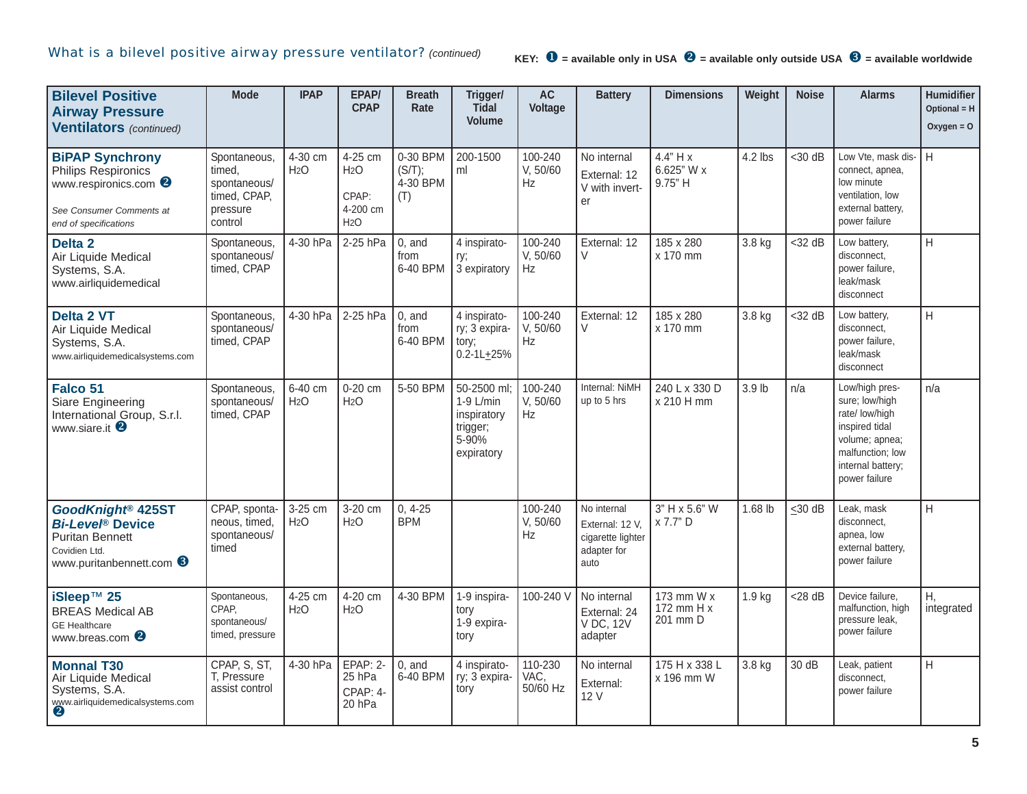| <b>Bilevel Positive</b><br><b>Airway Pressure</b><br><b>Ventilators</b> (continued)                                                                  | <b>Mode</b>                                                                  | <b>IPAP</b>                 | EPAP/<br><b>CPAP</b>                                                 | <b>Breath</b><br>Rate                 | Trigger/<br><b>Tidal</b><br><b>Volume</b>                                      | <b>AC</b><br>Voltage        | <b>Battery</b>                                                             | <b>Dimensions</b>                      | Weight  | <b>Noise</b> | <b>Alarms</b>                                                                                                                                    | Humidifier<br>Optional = $H$<br>$Oxygen = O$ |
|------------------------------------------------------------------------------------------------------------------------------------------------------|------------------------------------------------------------------------------|-----------------------------|----------------------------------------------------------------------|---------------------------------------|--------------------------------------------------------------------------------|-----------------------------|----------------------------------------------------------------------------|----------------------------------------|---------|--------------|--------------------------------------------------------------------------------------------------------------------------------------------------|----------------------------------------------|
| <b>BiPAP Synchrony</b><br>Philips Respironics<br>www.respironics.com <sup>8</sup><br>See Consumer Comments at<br>end of specifications               | Spontaneous<br>timed,<br>spontaneous/<br>timed, CPAP,<br>pressure<br>control | 4-30 cm<br>H <sub>2</sub> O | 4-25 cm<br>H <sub>2</sub> O<br>CPAP:<br>4-200 cm<br>H <sub>2</sub> O | 0-30 BPM<br>(S/T);<br>4-30 BPM<br>(T) | 200-1500<br>ml                                                                 | 100-240<br>V, 50/60<br>Hz   | No internal<br>External: 12<br>V with invert-<br>er                        | 4.4" H x<br>6.625" W x<br>9.75" H      | 4.2 lbs | $<$ 30 dB    | Low Vte, mask dis-<br>connect, apnea,<br>low minute<br>ventilation, low<br>external battery,<br>power failure                                    | H                                            |
| Delta <sub>2</sub><br>Air Liquide Medical<br>Systems, S.A.<br>www.airliquidemedical                                                                  | Spontaneous,<br>spontaneous/<br>timed, CPAP                                  | 4-30 hPa                    | 2-25 hPa                                                             | $0$ , and<br>from<br>6-40 BPM         | 4 inspirato-<br>ry;<br>3 expiratory                                            | 100-240<br>V, 50/60<br>Hz   | External: 12<br>V                                                          | 185 x 280<br>x 170 mm                  | 3.8 kg  | $<$ 32 dB    | Low battery,<br>disconnect,<br>power failure.<br>leak/mask<br>disconnect                                                                         | $\mathsf{H}$                                 |
| <b>Delta 2 VT</b><br>Air Liquide Medical<br>Systems, S.A.<br>www.airliquidemedicalsystems.com                                                        | Spontaneous,<br>spontaneous/<br>timed, CPAP                                  | 4-30 hPa                    | 2-25 hPa                                                             | $0$ , and<br>from<br>6-40 BPM         | 4 inspirato-<br>ry; 3 expira-<br>tory;<br>$0.2 - 1L + 25%$                     | 100-240<br>V, 50/60<br>Hz   | External: 12<br>V                                                          | 185 x 280<br>x 170 mm                  | 3.8 kg  | $<$ 32 dB    | Low battery,<br>disconnect,<br>power failure,<br>leak/mask<br>disconnect                                                                         | H                                            |
| Falco 51<br>Siare Engineering<br>International Group, S.r.l.<br>www.siare.it <sup>2</sup>                                                            | Spontaneous,<br>spontaneous/<br>timed, CPAP                                  | 6-40 cm<br>H <sub>2</sub> O | 0-20 cm<br>H <sub>2</sub> O                                          | 5-50 BPM                              | 50-2500 ml;<br>1-9 L/min<br>inspiratory<br>trigger;<br>$5 - 90%$<br>expiratory | 100-240<br>V, 50/60<br>Hz   | Internal: NiMH<br>up to 5 hrs                                              | 240 L x 330 D<br>x 210 H mm            | 3.9 lb  | n/a          | Low/high pres-<br>sure; low/high<br>rate/ low/high<br>inspired tidal<br>volume; apnea;<br>malfunction; low<br>internal battery;<br>power failure | n/a                                          |
| GoodKnight <sup>®</sup> 425ST<br><b>Bi-Leve<sup>®</sup></b> Device<br><b>Puritan Bennett</b><br>Covidien Ltd.<br>www.puritanbennett.com <sup>6</sup> | CPAP, sponta-<br>neous, timed,<br>spontaneous/<br>timed                      | 3-25 cm<br>H <sub>2</sub> O | 3-20 cm<br>H <sub>2</sub> O                                          | $0, 4-25$<br><b>BPM</b>               |                                                                                | 100-240<br>V, 50/60<br>Hz   | No internal<br>External: 12 V,<br>cigarette lighter<br>adapter for<br>auto | 3" H x 5.6" W<br>x 7.7" D              | 1.68 lb | $\leq 30$ dB | Leak, mask<br>disconnect,<br>apnea, low<br>external battery,<br>power failure                                                                    | H                                            |
| iSleep™ 25<br><b>BREAS Medical AB</b><br><b>GE</b> Healthcare<br>www.breas.com <sup>2</sup>                                                          | Spontaneous,<br>CPAP.<br>spontaneous/<br>timed, pressure                     | 4-25 cm<br>H <sub>2</sub> O | 4-20 cm<br>H <sub>2</sub> O                                          | 4-30 BPM                              | 1-9 inspira-<br>tory<br>1-9 expira-<br>tory                                    | 100-240 V                   | No internal<br>External: 24<br>V DC, 12V<br>adapter                        | 173 mm W x<br>172 mm $H x$<br>201 mm D | 1.9 kg  | $<$ 28 dB    | Device failure.<br>malfunction, high<br>pressure leak,<br>power failure                                                                          | H,<br>integrated                             |
| <b>Monnal T30</b><br>Air Liquide Medical<br>Systems, S.A.<br>www.airliquidemedicalsystems.com<br>2                                                   | CPAP, S, ST,<br>T. Pressure<br>assist control                                | 4-30 hPa                    | EPAP: 2-<br>25 hPa<br>CPAP: 4-<br>20 hPa                             | $0.$ and<br>6-40 BPM                  | 4 inspirato-<br>ry; 3 expira-<br>tory                                          | 110-230<br>VAC,<br>50/60 Hz | No internal<br>External:<br>12 V                                           | 175 H x 338 L<br>x 196 mm W            | 3.8 kg  | 30 dB        | Leak, patient<br>disconnect,<br>power failure                                                                                                    | H                                            |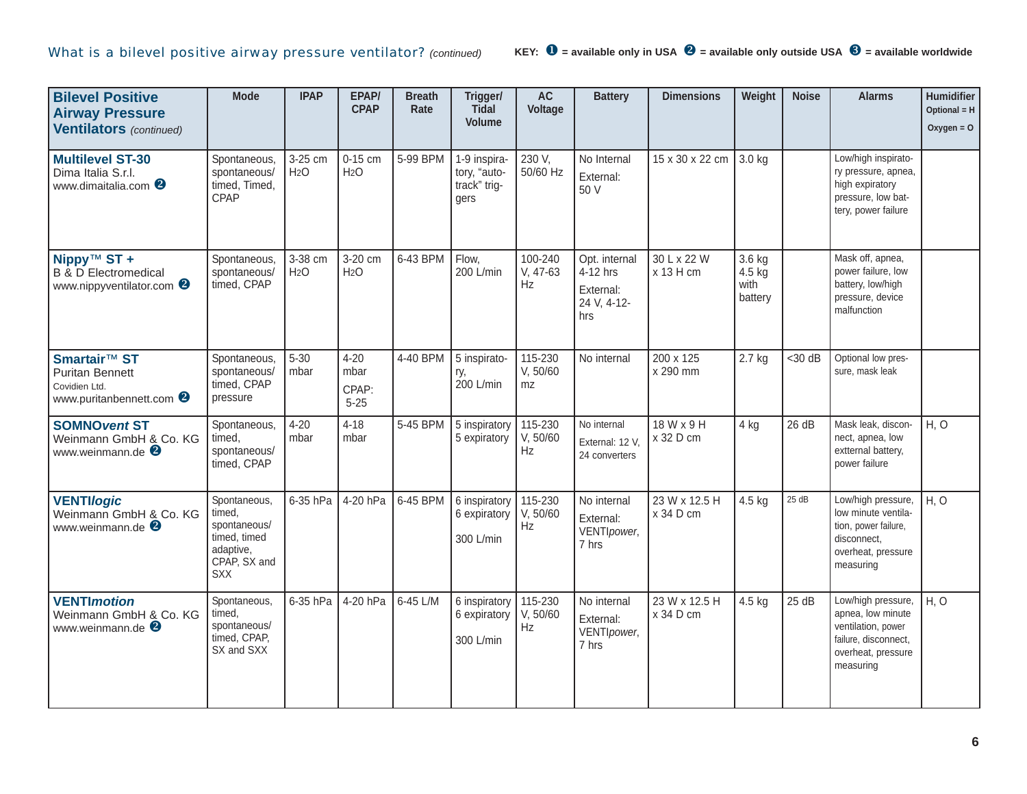| <b>Bilevel Positive</b><br><b>Airway Pressure</b><br><b>Ventilators</b> (continued)                   | <b>Mode</b>                                                                                       | <b>IPAP</b>                 | EPAP/<br><b>CPAP</b>                  | <b>Breath</b><br>Rate | Trigger/<br>Tidal<br><b>Volume</b>                   | <b>AC</b><br>Voltage      | <b>Battery</b>                                               | <b>Dimensions</b>          | Weight                              | <b>Noise</b> | <b>Alarms</b>                                                                                                            | Humidifier<br>Optional = H<br>Oxygen = $O$ |
|-------------------------------------------------------------------------------------------------------|---------------------------------------------------------------------------------------------------|-----------------------------|---------------------------------------|-----------------------|------------------------------------------------------|---------------------------|--------------------------------------------------------------|----------------------------|-------------------------------------|--------------|--------------------------------------------------------------------------------------------------------------------------|--------------------------------------------|
| <b>Multilevel ST-30</b><br>Dima Italia S.r.l.<br>www.dimaitalia.com <sup>8</sup>                      | Spontaneous,<br>spontaneous/<br>timed, Timed,<br>CPAP                                             | 3-25 cm<br>H <sub>2</sub> O | 0-15 cm<br>H <sub>2</sub> O           | 5-99 BPM              | 1-9 inspira-<br>tory, "auto-<br>track" trig-<br>gers | 230 V,<br>50/60 Hz        | No Internal<br>External:<br>50 V                             | 15 x 30 x 22 cm            | 3.0 kg                              |              | Low/high inspirato-<br>ry pressure, apnea,<br>high expiratory<br>pressure, low bat-<br>tery, power failure               |                                            |
| Nippy <sup>™</sup> ST +<br><b>B</b> & <b>D</b> Electromedical<br>www.nippyventilator.com <sup>8</sup> | Spontaneous,<br>spontaneous/<br>timed, CPAP                                                       | 3-38 cm<br>H <sub>2</sub> O | 3-20 cm<br>H <sub>2</sub> O           | 6-43 BPM              | Flow,<br>200 L/min                                   | 100-240<br>V, 47-63<br>Hz | Opt. internal<br>4-12 hrs<br>External:<br>24 V, 4-12-<br>hrs | 30 L x 22 W<br>x 13 H cm   | 3.6 kg<br>4.5 kg<br>with<br>battery |              | Mask off, apnea,<br>power failure, low<br>battery, low/high<br>pressure, device<br>malfunction                           |                                            |
| Smartair™ ST<br><b>Puritan Bennett</b><br>Covidien Ltd.<br>www.puritanbennett.com <sup>2</sup>        | Spontaneous,<br>spontaneous/<br>timed, CPAP<br>pressure                                           | $5 - 30$<br>mbar            | $4 - 20$<br>mbar<br>CPAP:<br>$5 - 25$ | 4-40 BPM              | 5 inspirato-<br>ry,<br>200 L/min                     | 115-230<br>V, 50/60<br>mz | No internal                                                  | 200 x 125<br>x 290 mm      | $2.7$ kg                            | $<$ 30 dB    | Optional low pres-<br>sure, mask leak                                                                                    |                                            |
| <b>SOMNO vent ST</b><br>Weinmann GmbH & Co. KG<br>www.weinmann.de <sup>2</sup>                        | Spontaneous,<br>timed.<br>spontaneous/<br>timed, CPAP                                             | $4 - 20$<br>mbar            | $4 - 18$<br>mbar                      | 5-45 BPM              | 5 inspiratory<br>5 expiratory                        | 115-230<br>V, 50/60<br>Hz | No internal<br>External: 12 V,<br>24 converters              | 18 W x 9 H<br>x 32 D cm    | 4 kg                                | 26 dB        | Mask leak, discon-<br>nect, apnea, low<br>extternal battery,<br>power failure                                            | H, O                                       |
| <b>VENTI/ogic</b><br>Weinmann GmbH & Co. KG<br>www.weinmann.de $\bullet$                              | Spontaneous,<br>timed.<br>spontaneous/<br>timed, timed<br>adaptive,<br>CPAP, SX and<br><b>SXX</b> | 6-35 hPa                    | 4-20 hPa                              | 6-45 BPM              | 6 inspiratory<br>6 expiratory<br>300 L/min           | 115-230<br>V, 50/60<br>Hz | No internal<br>External:<br>VENTIpower,<br>7 hrs             | 23 W x 12.5 H<br>x 34 D cm | 4.5 kg                              | 25 dB        | Low/high pressure,<br>low minute ventila-<br>tion, power failure,<br>disconnect,<br>overheat, pressure<br>measuring      | H, O                                       |
| <b>VENTImotion</b><br>Weinmann GmbH & Co. KG<br>www.weinmann.de <sup>2</sup>                          | Spontaneous<br>timed,<br>spontaneous/<br>timed, CPAP,<br>SX and SXX                               | 6-35 hPa                    | 4-20 hPa                              | 6-45 L/M              | 6 inspiratory<br>6 expiratory<br>300 L/min           | 115-230<br>V, 50/60<br>Hz | No internal<br>External:<br>VENTIpower,<br>7 hrs             | 23 W x 12.5 H<br>x 34 D cm | 4.5 kg                              | 25dB         | Low/high pressure,<br>apnea, low minute<br>ventilation, power<br>failure, disconnect,<br>overheat, pressure<br>measuring | H, O                                       |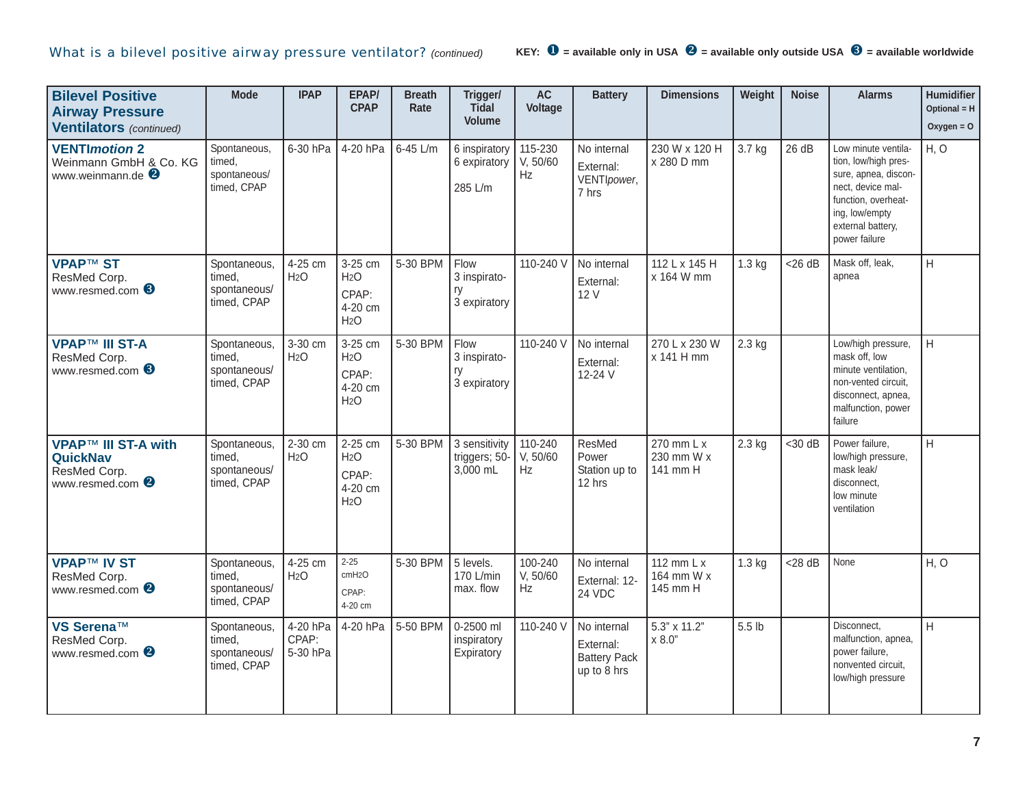| <b>Bilevel Positive</b><br><b>Airway Pressure</b><br><b>Ventilators</b> (continued)          | <b>Mode</b>                                           | <b>IPAP</b>                   | EPAP/<br><b>CPAP</b>                                                | <b>Breath</b><br>Rate | Trigger/<br>Tidal<br><b>Volume</b>         | <b>AC</b><br>Voltage      | <b>Battery</b>                                                 | <b>Dimensions</b>                    | Weight   | <b>Noise</b> | <b>Alarms</b>                                                                                                                                                           | <b>Humidifier</b><br>Optional = H<br>Oxygen = $O$ |
|----------------------------------------------------------------------------------------------|-------------------------------------------------------|-------------------------------|---------------------------------------------------------------------|-----------------------|--------------------------------------------|---------------------------|----------------------------------------------------------------|--------------------------------------|----------|--------------|-------------------------------------------------------------------------------------------------------------------------------------------------------------------------|---------------------------------------------------|
| <b>VENTImotion 2</b><br>Weinmann GmbH & Co. KG<br>www.weinmann.de <sup>2</sup>               | Spontaneous,<br>timed,<br>spontaneous/<br>timed, CPAP | 6-30 hPa                      | 4-20 hPa                                                            | 6-45 L/m              | 6 inspiratory<br>6 expiratory<br>285 L/m   | 115-230<br>V, 50/60<br>Hz | No internal<br>External:<br>VENTIpower,<br>7 hrs               | 230 W x 120 H<br>x 280 D mm          | 3.7 kg   | 26 dB        | Low minute ventila-<br>tion, low/high pres-<br>sure, apnea, discon-<br>nect, device mal-<br>function, overheat-<br>ing, low/empty<br>external battery,<br>power failure | H, O                                              |
| <b>VPAP™ ST</b><br>ResMed Corp.<br>www.resmed.com 6                                          | Spontaneous,<br>timed,<br>spontaneous/<br>timed, CPAP | 4-25 cm<br>H <sub>2</sub> O   | 3-25 cm<br>H <sub>2</sub> O<br>CPAP:<br>4-20 cm<br>H <sub>2</sub> O | 5-30 BPM              | Flow<br>3 inspirato-<br>ry<br>3 expiratory | 110-240 V                 | No internal<br>External:<br>12 V                               | 112 L x 145 H<br>x 164 W mm          | $1.3$ kg | $<$ 26 dB    | Mask off, leak,<br>apnea                                                                                                                                                | H                                                 |
| <b>VPAP™ III ST-A</b><br>ResMed Corp.<br>www.resmed.com 6                                    | Spontaneous,<br>timed.<br>spontaneous/<br>timed, CPAP | 3-30 cm<br>H <sub>2</sub> O   | 3-25 cm<br>H <sub>2</sub> O<br>CPAP:<br>4-20 cm<br>H <sub>2</sub> O | 5-30 BPM              | Flow<br>3 inspirato-<br>ry<br>3 expiratory | 110-240 V                 | No internal<br>External:<br>12-24 V                            | 270 L x 230 W<br>x 141 H mm          | $2.3$ kg |              | Low/high pressure,<br>mask off, low<br>minute ventilation,<br>non-vented circuit.<br>disconnect, apnea,<br>malfunction, power<br>failure                                | Iн                                                |
| <b>VPAP™ III ST-A with</b><br><b>QuickNav</b><br>ResMed Corp.<br>www.resmed.com <sup>2</sup> | Spontaneous,<br>timed,<br>spontaneous/<br>timed, CPAP | 2-30 cm<br>H <sub>2</sub> O   | 2-25 cm<br>H <sub>2</sub> O<br>CPAP:<br>4-20 cm<br>H <sub>2</sub> O | 5-30 BPM              | 3 sensitivity<br>triggers; 50-<br>3,000 mL | 110-240<br>V, 50/60<br>Hz | ResMed<br>Power<br>Station up to<br>12 hrs                     | 270 mm L x<br>230 mm W x<br>141 mm H | $2.3$ kg | $30$ dB      | Power failure,<br>low/high pressure,<br>mask leak/<br>disconnect,<br>low minute<br>ventilation                                                                          | H                                                 |
| <b>VPAP™ IV ST</b><br>ResMed Corp.<br>www.resmed.com <sup>2</sup>                            | Spontaneous,<br>timed.<br>spontaneous/<br>timed, CPAP | 4-25 cm<br>H <sub>2</sub> O   | $2 - 25$<br>cmH <sub>2</sub> O<br>CPAP:<br>4-20 cm                  | 5-30 BPM              | 5 levels.<br>170 L/min<br>max. flow        | 100-240<br>V, 50/60<br>Hz | No internal<br>External: 12-<br>24 VDC                         | 112 mm L x<br>164 mm W x<br>145 mm H | $1.3$ kg | $<$ 28 dB    | None                                                                                                                                                                    | H, O                                              |
| VS Serena™<br>ResMed Corp.<br>www.resmed.com <sup>2</sup>                                    | Spontaneous,<br>timed,<br>spontaneous/<br>timed, CPAP | 4-20 hPa<br>CPAP:<br>5-30 hPa | 4-20 hPa                                                            | 5-50 BPM              | 0-2500 ml<br>inspiratory<br>Expiratory     | 110-240 V                 | No internal<br>External:<br><b>Battery Pack</b><br>up to 8 hrs | 5.3" x 11.2"<br>x 8.0"               | 5.5 lb   |              | Disconnect,<br>malfunction, apnea,<br>power failure,<br>nonvented circuit,<br>low/high pressure                                                                         | H                                                 |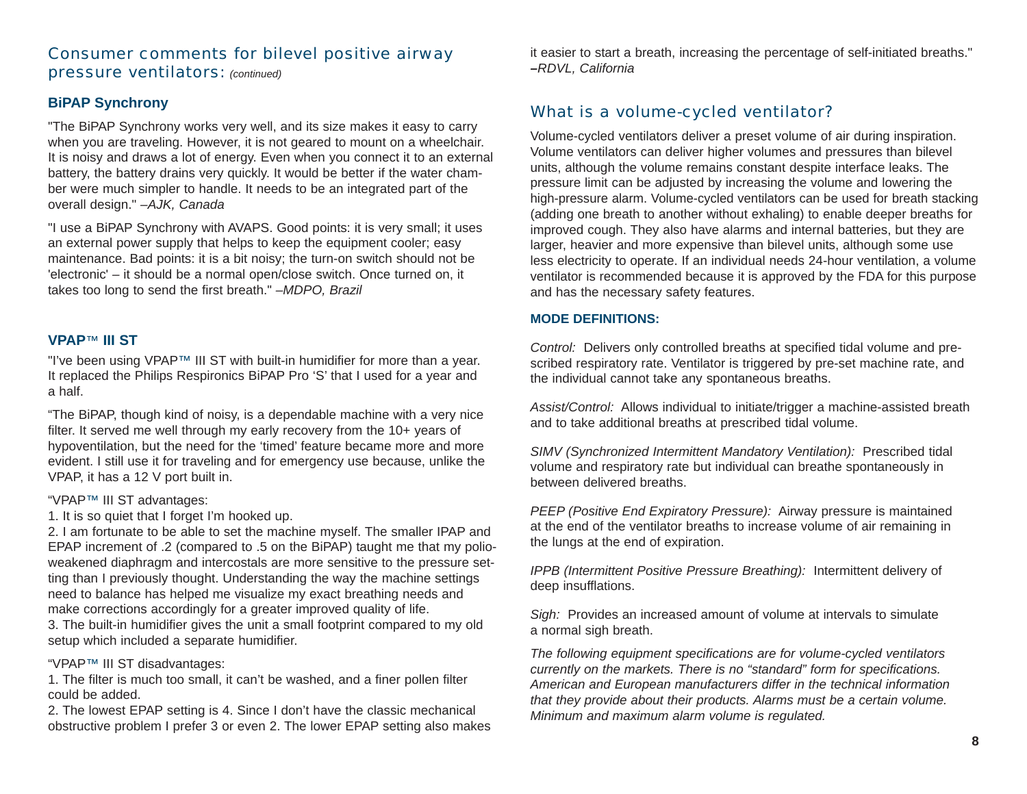## Consumer comments for bilevel positive airway pressure ventilators: *(continued)*

#### **BiPAP Synchrony**

"The BiPAP Synchrony works very well, and its size makes it easy to carry when you are traveling. However, it is not geared to mount on a wheelchair. It is noisy and draws a lot of energy. Even when you connect it to an external battery, the battery drains very quickly. It would be better if the water chamber were much simpler to handle. It needs to be an integrated part of the overall design." *–AJK, Canada*

"I use a BiPAP Synchrony with AVAPS. Good points: it is very small; it uses an external power supply that helps to keep the equipment cooler; easy maintenance. Bad points: it is a bit noisy; the turn-on switch should not be 'electronic' – it should be a normal open/close switch. Once turned on, it takes too long to send the first breath." *–MDPO, Brazil*

#### **VPAP** ™ **III ST**

"I've been using VPAP™ III ST with built-in humidifier for more than a year. It replaced the Philips Respironics BiPAP Pro 'S' that I used for a year and a half.

"The BiPAP, though kind of noisy, is a dependable machine with a very nice filter. It served me well through my early recovery from the 10+ years of hypoventilation, but the need for the 'timed' feature became more and more evident. I still use it for traveling and for emergency use because, unlike the VPAP, it has a 12 V port built in.

#### "VPAP ™ III ST advantages:

1. It is so quiet that I forget I'm hooked up.

2. I am fortunate to be able to set the machine myself. The smaller IPAP and EPAP increment of .2 (compared to .5 on the BiPAP) taught me that my polioweakened diaphragm and intercostals are more sensitive to the pressure setting than I previously thought. Understanding the way the machine settings need to balance has helped me visualize my exact breathing needs and make corrections accordingly for a greater improved quality of life. 3. The built-in humidifier gives the unit a small footprint compared to my old setup which included a separate humidifier.

#### "VPAP ™ III ST disadvantages:

1. The filter is much too small, it can't be washed, and a finer pollen filter could be added.

2. The lowest EPAP setting is 4. Since I don't have the classic mechanical obstructive problem I prefer 3 or even 2. The lower EPAP setting also makes it easier to start a breath, increasing the percentage of self-initiated breaths." *–RDVL, California*

## What is a volume-cycled ventilator?

Volume-cycled ventilators deliver a preset volume of air during inspiration. Volume ventilators can deliver higher volumes and pressures than bilevel units, although the volume remains constant despite interface leaks. The pressure limit can be adjusted by increasing the volume and lowering the high-pressure alarm. Volume-cycled ventilators can be used for breath stacking (adding one breath to another without exhaling) to enable deeper breaths for improved cough. They also have alarms and internal batteries, but they are larger, heavier and more expensive than bilevel units, although some use less electricity to operate. If an individual needs 24-hour ventilation, a volume ventilator is recommended because it is approved by the FDA for this purpose and has the necessary safety features.

#### **MODE DEFINITIONS:**

*Control:* Delivers only controlled breaths at specified tidal volume and prescribed respiratory rate. Ventilator is triggered by pre-set machine rate, and the individual cannot take any spontaneous breaths.

*Assist/Control:* Allows individual to initiate/trigger a machine-assisted breath and to take additional breaths at prescribed tidal volume.

*SIMV (Synchronized Intermittent Mandatory Ventilation):* Prescribed tidal volume and respiratory rate but individual can breathe spontaneously in between delivered breaths.

*PEEP (Positive End Expiratory Pressure):* Airway pressure is maintained at the end of the ventilator breaths to increase volume of air remaining in the lungs at the end of expiration.

*IPPB (Intermittent Positive Pressure Breathing):* Intermittent delivery of deep insufflations.

*Sigh:* Provides an increased amount of volume at intervals to simulate a normal sigh breath.

*The following equipment specifications are for volume-cycled ventilators currently on the markets. There is no "standard" form for specifications. American and European manufacturers differ in the technical information that they provide about their products. Alarms must be a certain volume. Minimum and maximum alarm volume is regulated.*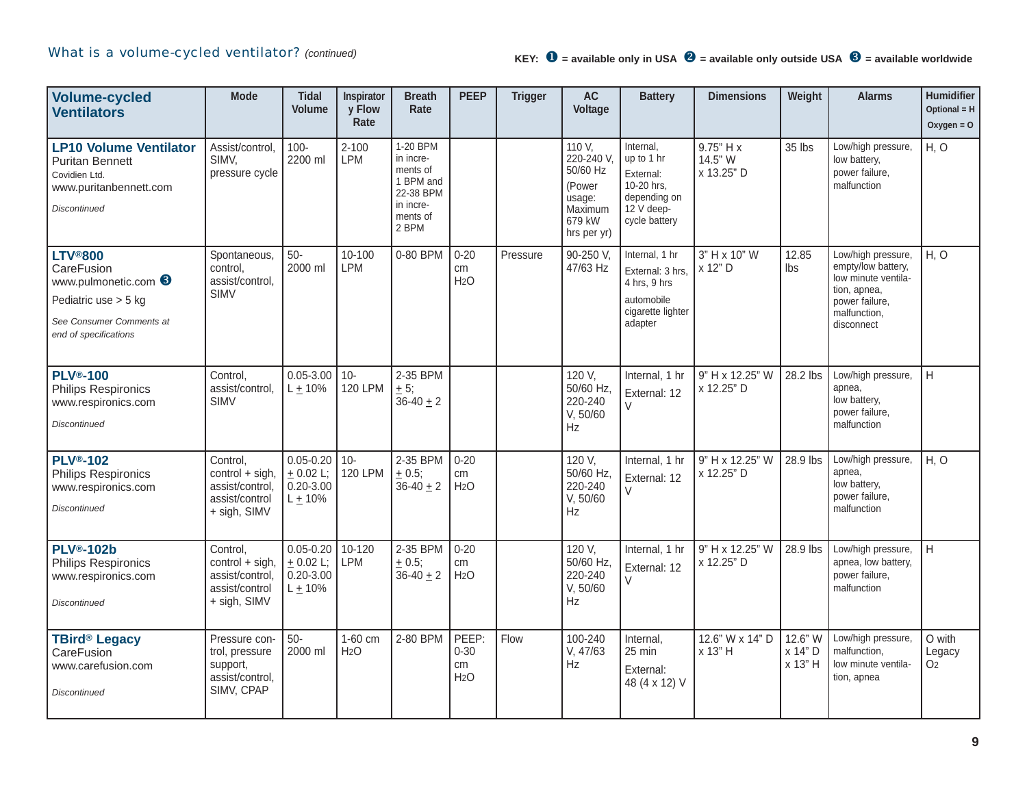## What is a volume-cycled ventilator? *(continued)*

| <b>Volume-cycled</b><br><b>Ventilators</b>                                                                                        | <b>Mode</b>                                                                        | <b>Tidal</b><br><b>Volume</b>                               | Inspirator<br>y Flow<br>Rate | <b>Breath</b><br>Rate                                                                         | <b>PEEP</b>                                 | <b>Trigger</b> | <b>AC</b><br>Voltage                                                                     | <b>Battery</b>                                                                                    | <b>Dimensions</b>                  | Weight                        | <b>Alarms</b>                                                                                                                   | <b>Humidifier</b><br>Optional = $H$<br>$Oxygen = O$ |
|-----------------------------------------------------------------------------------------------------------------------------------|------------------------------------------------------------------------------------|-------------------------------------------------------------|------------------------------|-----------------------------------------------------------------------------------------------|---------------------------------------------|----------------|------------------------------------------------------------------------------------------|---------------------------------------------------------------------------------------------------|------------------------------------|-------------------------------|---------------------------------------------------------------------------------------------------------------------------------|-----------------------------------------------------|
| <b>LP10 Volume Ventilator</b><br><b>Puritan Bennett</b><br>Covidien Ltd.<br>www.puritanbennett.com<br><b>Discontinued</b>         | Assist/control,<br>SIMV,<br>pressure cycle                                         | $100 -$<br>2200 ml                                          | $2 - 100$<br><b>LPM</b>      | 1-20 BPM<br>in incre-<br>ments of<br>1 BPM and<br>22-38 BPM<br>in incre-<br>ments of<br>2 BPM |                                             |                | 110 V,<br>220-240 V,<br>50/60 Hz<br>(Power<br>usage:<br>Maximum<br>679 kW<br>hrs per yr) | Internal,<br>up to 1 hr<br>External:<br>10-20 hrs.<br>depending on<br>12 V deep-<br>cycle battery | 9.75" H x<br>14.5" W<br>x 13.25" D | 35 lbs                        | Low/high pressure,<br>low battery,<br>power failure,<br>malfunction                                                             | H, O                                                |
| <b>LTV®800</b><br>CareFusion<br>www.pulmonetic.com 6<br>Pediatric use > 5 kg<br>See Consumer Comments at<br>end of specifications | Spontaneous,<br>control.<br>assist/control,<br><b>SIMV</b>                         | $50-$<br>2000 ml                                            | 10-100<br>LPM                | 0-80 BPM                                                                                      | $0 - 20$<br>cm<br>H <sub>2</sub> O          | Pressure       | 90-250 V,<br>47/63 Hz                                                                    | Internal, 1 hr<br>External: 3 hrs.<br>4 hrs, 9 hrs<br>automobile<br>cigarette lighter<br>adapter  | 3" H x 10" W<br>x 12" D            | 12.85<br>Ibs                  | Low/high pressure,<br>empty/low battery,<br>low minute ventila-<br>tion, apnea,<br>power failure,<br>malfunction,<br>disconnect | H, O                                                |
| <b>PLV®-100</b><br><b>Philips Respironics</b><br>www.respironics.com<br><b>Discontinued</b>                                       | Control,<br>assist/control,<br><b>SIMV</b>                                         | $0.05 - 3.00$<br>$L + 10%$                                  | $10 -$<br><b>120 LPM</b>     | 2-35 BPM<br>$\pm$ 5;<br>$36 - 40 + 2$                                                         |                                             |                | 120 V,<br>50/60 Hz.<br>220-240<br>V, 50/60<br><b>Hz</b>                                  | Internal, 1 hr<br>External: 12<br>$\vee$                                                          | 9" H x 12.25" W<br>x 12.25" D      | 28.2 lbs                      | Low/high pressure,<br>apnea,<br>low battery,<br>power failure,<br>malfunction                                                   | H                                                   |
| <b>PLV®-102</b><br><b>Philips Respironics</b><br>www.respironics.com<br><b>Discontinued</b>                                       | Control,<br>$control + sigh,$<br>assist/control,<br>assist/control<br>+ sigh, SIMV | $0.05 - 0.20$<br>± 0.02 L;<br>$0.20 - 3.00$<br>$L \pm 10\%$ | $10 -$<br><b>120 LPM</b>     | 2-35 BPM<br>± 0.5;<br>$36 - 40 + 2$                                                           | $0 - 20$<br>cm<br>H <sub>2</sub> O          |                | 120 V,<br>50/60 Hz.<br>220-240<br>V, 50/60<br>Hz                                         | Internal, 1 hr<br>External: 12<br>$\vee$                                                          | 9" H x 12.25" W<br>x 12.25" D      | 28.9 lbs                      | Low/high pressure,<br>apnea,<br>low battery,<br>power failure,<br>malfunction                                                   | H, O                                                |
| <b>PLV®-102b</b><br><b>Philips Respironics</b><br>www.respironics.com<br><b>Discontinued</b>                                      | Control,<br>$control + sigh,$<br>assist/control,<br>assist/control<br>+ sigh, SIMV | $0.05 - 0.20$<br>$+ 0.02$ L;<br>$0.20 - 3.00$<br>$L + 10%$  | 10-120<br><b>LPM</b>         | 2-35 BPM<br>$\pm 0.5;$<br>$36 - 40 + 2$                                                       | $0 - 20$<br>cm<br>H <sub>2</sub> O          |                | 120 V,<br>50/60 Hz.<br>220-240<br>V, 50/60<br>Hz                                         | Internal, 1 hr<br>External: 12<br>$\vee$                                                          | 9" H x 12.25" W<br>x 12.25" D      | 28.9 lbs                      | Low/high pressure,<br>apnea, low battery,<br>power failure,<br>malfunction                                                      | H                                                   |
| <b>TBird® Legacy</b><br>CareFusion<br>www.carefusion.com<br><b>Discontinued</b>                                                   | Pressure con-<br>trol, pressure<br>support,<br>assist/control,<br>SIMV, CPAP       | $50-$<br>2000 ml                                            | 1-60 cm<br>H <sub>2</sub> O  | 2-80 BPM                                                                                      | PEEP:<br>$0 - 30$<br>cm<br>H <sub>2</sub> O | Flow           | 100-240<br>V, 47/63<br>Hz                                                                | Internal,<br>25 min<br>External:<br>48 (4 x 12) V                                                 | 12.6" W x 14" D<br>x 13" H         | 12.6" W<br>x 14" D<br>x 13" H | Low/high pressure,<br>malfunction.<br>low minute ventila-<br>tion, apnea                                                        | O with<br>Legacy<br>O <sub>2</sub>                  |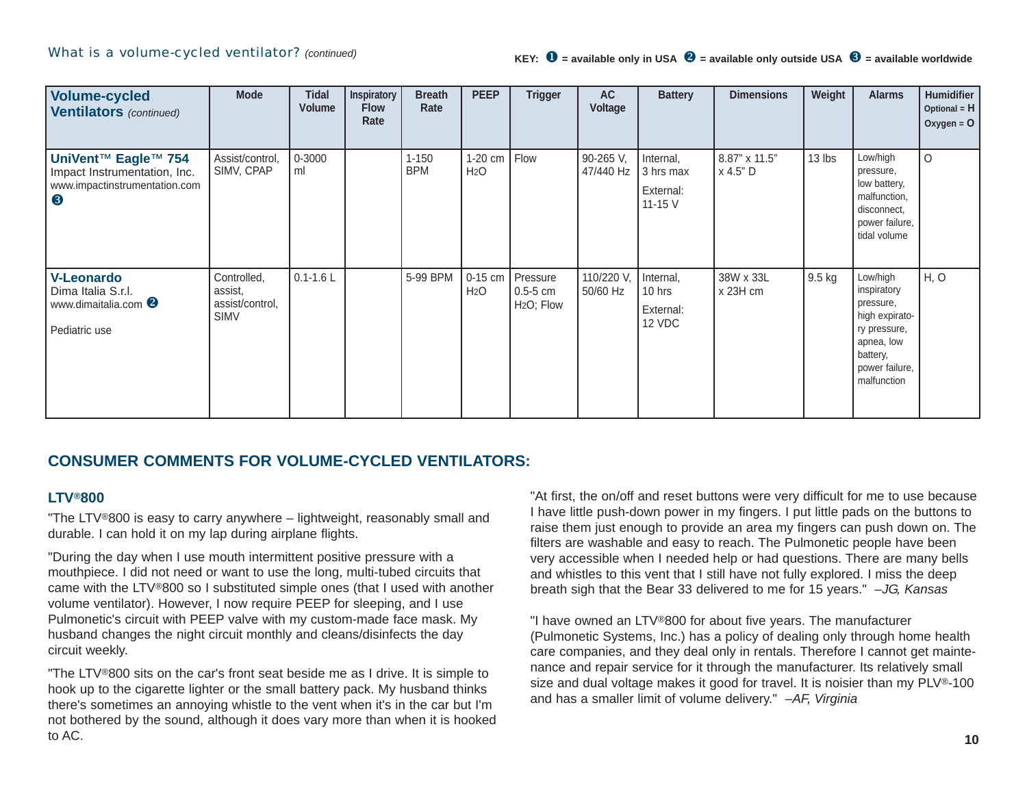| <b>Volume-cycled</b><br><b>Ventilators</b> (continued)                                    | <b>Mode</b>                                              | <b>Tidal</b><br><b>Volume</b> | Inspiratory<br><b>Flow</b><br>Rate | <b>Breath</b><br>Rate   | <b>PEEP</b>                 | <b>Trigger</b>                                     | <b>AC</b><br>Voltage   | <b>Battery</b>                                 | <b>Dimensions</b>           | Weight           | <b>Alarms</b>                                                                                                                     | Humidifier<br>Optional = $H$<br>Oxygen = $O$ |
|-------------------------------------------------------------------------------------------|----------------------------------------------------------|-------------------------------|------------------------------------|-------------------------|-----------------------------|----------------------------------------------------|------------------------|------------------------------------------------|-----------------------------|------------------|-----------------------------------------------------------------------------------------------------------------------------------|----------------------------------------------|
| UniVent™ Eagle™ 754<br>Impact Instrumentation, Inc.<br>www.impactinstrumentation.com<br>8 | Assist/control,<br>SIMV, CPAP                            | 0-3000<br>ml                  |                                    | $1 - 150$<br><b>BPM</b> | 1-20 cm<br>H <sub>2</sub> O | Flow                                               | 90-265 V,<br>47/440 Hz | Internal,<br>3 hrs max<br>External:<br>11-15 V | 8.87" x 11.5"<br>  x 4.5" D | 13 lbs           | Low/high<br>pressure,<br>low battery,<br>malfunction,<br>disconnect,<br>power failure,<br>tidal volume                            | $\circ$                                      |
| <b>V-Leonardo</b><br>Dima Italia S.r.l.<br>www.dimaitalia.com<br>Pediatric use            | Controlled,<br>assist,<br>assist/control,<br><b>SIMV</b> | $0.1 - 1.6$ L                 |                                    | 5-99 BPM                | 0-15 cm<br>H <sub>2</sub> O | Pressure<br>$0.5 - 5$ cm<br>H <sub>2</sub> O; Flow | 110/220 V,<br>50/60 Hz | Internal,<br>10 hrs<br>External:<br>12 VDC     | 38W x 33L<br>x 23H cm       | $9.5 \text{ kg}$ | Low/high<br>inspiratory<br>pressure,<br>high expirato-<br>ry pressure,<br>apnea, low<br>battery,<br>power failure,<br>malfunction | H, O                                         |

## **CONSUMER COMMENTS FOR VOLUME-CYCLED VENTILATORS:**

#### **LTV®800**

"The LTV®800 is easy to carry anywhere – lightweight, reasonably small and durable. I can hold it on my lap during airplane flights.

"During the day when I use mouth intermittent positive pressure with a mouthpiece. I did not need or want to use the long, multi-tubed circuits that came with the LTV®800 so I substituted simple ones (that I used with another volume ventilator). However, I now require PEEP for sleeping, and I use Pulmonetic's circuit with PEEP valve with my custom-made face mask. My husband changes the night circuit monthly and cleans/disinfects the day circuit weekly.

"The LTV®800 sits on the car's front seat beside me as I drive. It is simple to hook up to the cigarette lighter or the small battery pack. My husband thinks there's sometimes an annoying whistle to the vent when it's in the car but I'm not bothered by the sound, although it does vary more than when it is hooked to AC.

"At first, the on/off and reset buttons were very difficult for me to use because I have little push-down power in my fingers. I put little pads on the buttons to raise them just enough to provide an area my fingers can push down on. The filters are washable and easy to reach. The Pulmonetic people have been very accessible when I needed help or had questions. There are many bells and whistles to this vent that I still have not fully explored. I miss the deep breath sigh that the Bear 33 delivered to me for 15 years." *–JG, Kansas*

"I have owned an LTV®800 for about five years. The manufacturer (Pulmonetic Systems, Inc.) has a policy of dealing only through home health care companies, and they deal only in rentals. Therefore I cannot get maintenance and repair service for it through the manufacturer. Its relatively small size and dual voltage makes it good for travel. It is noisier than my PLV®-100 and has a smaller limit of volume delivery." *–AF, Virginia*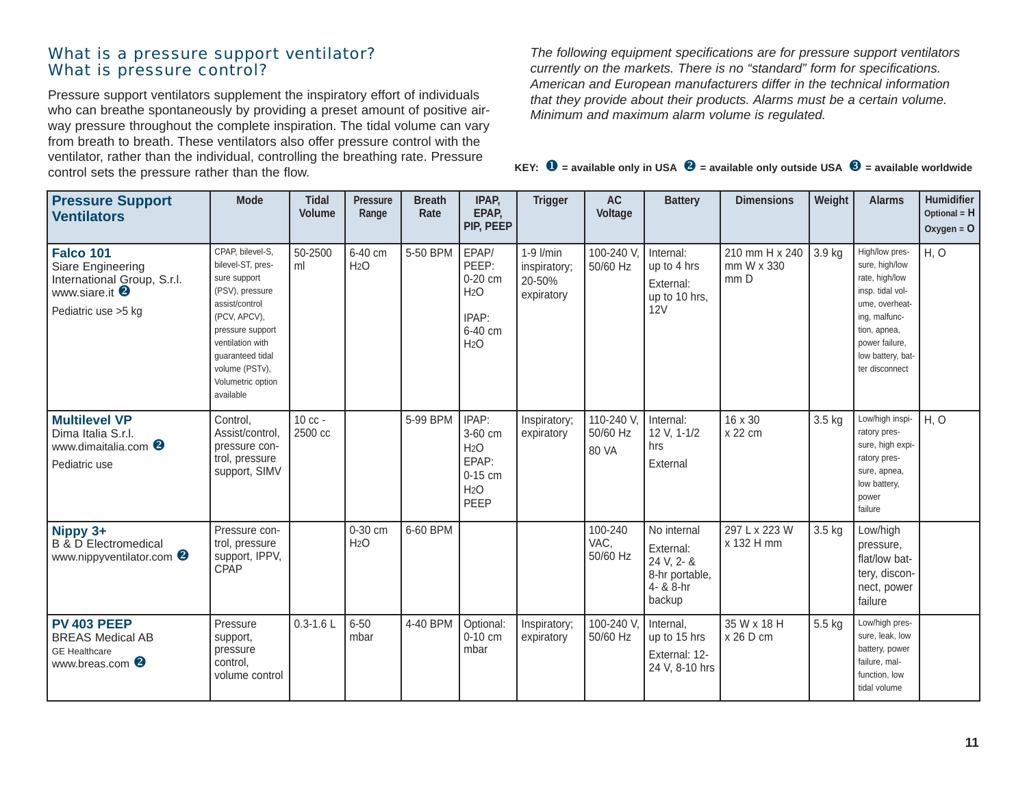#### What is a pressure support ventilator? What is pressure control?

Pressure support ventilators supplement the inspiratory effort of individuals who can breathe spontaneously by providing a preset amount of positive airway pressure throughout the complete inspiration. The tidal volume can vary from breath to breath. These ventilators also offer pressure control with the ventilator, rather than the individual, controlling the breathing rate. Pressure control sets the pressure rather than the flow.

*The following equipment specifications are for pressure support ventilators currently on the markets. There is no "standard" form for specifications. American and European manufacturers differ in the technical information that they provide about their products. Alarms must be a certain volume. Minimum and maximum alarm volume is regulated.*

|  |  |  |  |  | KEY: $\mathbf{\Theta}$ = available only in USA $\mathbf{\Theta}$ = available only outside USA $\mathbf{\Theta}$ = available worldwide |
|--|--|--|--|--|---------------------------------------------------------------------------------------------------------------------------------------|
|--|--|--|--|--|---------------------------------------------------------------------------------------------------------------------------------------|

| <b>Pressure Support</b><br><b>Ventilators</b>                                                                             | <b>Mode</b>                                                                                                                                                                                                                | <b>Tidal</b><br><b>Volume</b> | <b>Pressure</b><br>Range    | <b>Breath</b><br>Rate | IPAP,<br>EPAP,<br>PIP, PEEP                                                            | <b>Trigger</b>                                        | <b>AC</b><br>Voltage            | <b>Battery</b>                                                                  | <b>Dimensions</b>                    | Weight | <b>Alarms</b>                                                                                                                                                                      | <b>Humidifier</b><br>Optional = $H$<br>Oxygen = $O$ |
|---------------------------------------------------------------------------------------------------------------------------|----------------------------------------------------------------------------------------------------------------------------------------------------------------------------------------------------------------------------|-------------------------------|-----------------------------|-----------------------|----------------------------------------------------------------------------------------|-------------------------------------------------------|---------------------------------|---------------------------------------------------------------------------------|--------------------------------------|--------|------------------------------------------------------------------------------------------------------------------------------------------------------------------------------------|-----------------------------------------------------|
| <b>Falco 101</b><br>Siare Engineering<br>International Group, S.r.l.<br>www.siare.it <sup>2</sup><br>Pediatric use > 5 kg | CPAP, bilevel-S,<br>bilevel-ST, pres-<br>sure support<br>(PSV), pressure<br>assist/control<br>(PCV, APCV),<br>pressure support<br>ventilation with<br>guaranteed tidal<br>volume (PSTv),<br>Volumetric option<br>available | 50-2500<br>ml                 | 6-40 cm<br>H <sub>2</sub> O | 5-50 BPM              | EPAP/<br>PEEP:<br>0-20 cm<br>H <sub>2</sub> O<br>IPAP:<br>6-40 cm<br>H <sub>2</sub> O  | $1-9$ $l/min$<br>inspiratory;<br>20-50%<br>expiratory | 100-240 V<br>50/60 Hz           | Internal:<br>up to 4 hrs<br>External:<br>up to 10 hrs,<br>12V                   | 210 mm H x 240<br>mm W x 330<br>mm D | 3.9 kg | High/low pres-<br>sure, high/low<br>rate, high/low<br>insp. tidal vol-<br>ume, overheat-<br>ing, malfunc-<br>tion, apnea,<br>power failure,<br>low battery, bat-<br>ter disconnect | H, O                                                |
| <b>Multilevel VP</b><br>Dima Italia S.r.l.<br>www.dimaitalia.com <sup>8</sup><br>Pediatric use                            | Control,<br>Assist/control,<br>pressure con-<br>trol, pressure<br>support, SIMV                                                                                                                                            | 10 cc -<br>2500 cc            |                             | 5-99 BPM              | IPAP:<br>3-60 cm<br>H <sub>2</sub> O<br>EPAP:<br>$0-15$ cm<br>H <sub>2</sub> O<br>PEEP | Inspiratory;<br>expiratory                            | 110-240 V,<br>50/60 Hz<br>80 VA | Internal:<br>12 V, 1-1/2<br>hrs<br>External                                     | 16 x 30<br>x 22 cm                   | 3.5 kg | Low/high inspi-<br>ratory pres-<br>sure, high expi-<br>ratory pres-<br>sure, apnea,<br>low battery,<br>power<br>failure                                                            | H, O                                                |
| Nippy 3+<br><b>B &amp; D Electromedical</b><br>www.nippyventilator.com <sup>2</sup>                                       | Pressure con-<br>trol, pressure<br>support, IPPV,<br>CPAP                                                                                                                                                                  |                               | 0-30 cm<br>H <sub>2</sub> O | 6-60 BPM              |                                                                                        |                                                       | 100-240<br>VAC,<br>50/60 Hz     | No internal<br>External:<br>24 V, 2- &<br>8-hr portable,<br>4- & 8-hr<br>backup | 297 L x 223 W<br>x 132 H mm          | 3.5 kg | Low/high<br>pressure,<br>flat/low bat-<br>tery, discon-<br>nect, power<br>failure                                                                                                  |                                                     |
| <b>PV 403 PEEP</b><br><b>BREAS Medical AB</b><br><b>GE</b> Healthcare<br>www.breas.com <sup>2</sup>                       | Pressure<br>support,<br>pressure<br>control,<br>volume control                                                                                                                                                             | $0.3 - 1.6$ L                 | $6 - 50$<br>mbar            | 4-40 BPM              | Optional:<br>$0-10$ cm<br>mbar                                                         | Inspiratory;<br>expiratory                            | 100-240 V.<br>50/60 Hz          | Internal,<br>up to 15 hrs<br>External: 12-<br>24 V, 8-10 hrs                    | 35 W x 18 H<br>$x 26$ D cm           | 5.5 kg | Low/high pres-<br>sure, leak, low<br>battery, power<br>failure, mal-<br>function, low<br>tidal volume                                                                              |                                                     |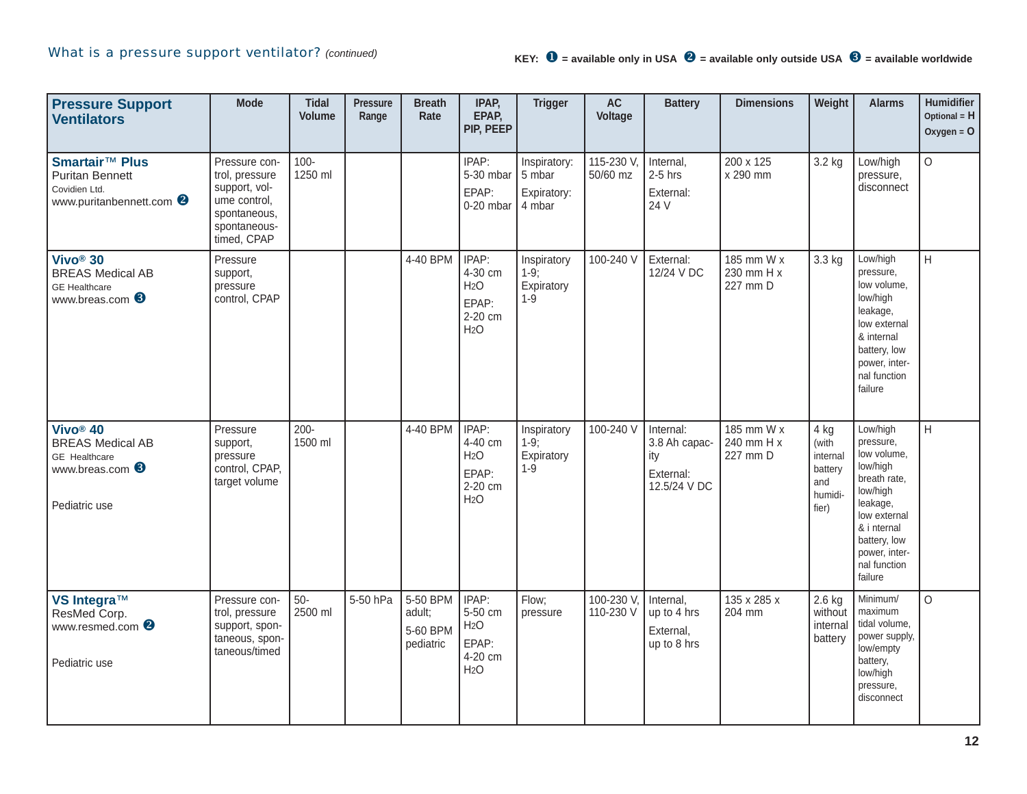| <b>Pressure Support</b><br><b>Ventilators</b>                                                                          | <b>Mode</b>                                                                                                     | <b>Tidal</b><br><b>Volume</b> | <b>Pressure</b><br>Range | <b>Breath</b><br>Rate                       | IPAP,<br>EPAP,<br>PIP, PEEP                                                  | <b>Trigger</b>                                  | $\mathsf{AC}$<br>Voltage | <b>Battery</b>                                                 | <b>Dimensions</b>                    | Weight                                                          | <b>Alarms</b>                                                                                                                                                                       | Humidifier<br>Optional = H<br>Oxygen = $O$ |
|------------------------------------------------------------------------------------------------------------------------|-----------------------------------------------------------------------------------------------------------------|-------------------------------|--------------------------|---------------------------------------------|------------------------------------------------------------------------------|-------------------------------------------------|--------------------------|----------------------------------------------------------------|--------------------------------------|-----------------------------------------------------------------|-------------------------------------------------------------------------------------------------------------------------------------------------------------------------------------|--------------------------------------------|
| Smartair <sup>™</sup> Plus<br><b>Puritan Bennett</b><br>Covidien Ltd.<br>www.puritanbennett.com <sup>2</sup>           | Pressure con-<br>trol, pressure<br>support, vol-<br>ume control,<br>spontaneous,<br>spontaneous-<br>timed, CPAP | $100 -$<br>1250 ml            |                          |                                             | IPAP:<br>5-30 mbar<br>EPAP:<br>0-20 mbar                                     | Inspiratory:<br>5 mbar<br>Expiratory:<br>4 mbar | 115-230 V,<br>50/60 mz   | Internal,<br>$2-5$ hrs<br>External:<br>24 V                    | 200 x 125<br>x 290 mm                | 3.2 kg                                                          | Low/high<br>pressure,<br>disconnect                                                                                                                                                 | $\circ$                                    |
| Vivo <sup>®</sup> 30<br><b>BREAS Medical AB</b><br><b>GE</b> Healthcare<br>www.breas.com <sup>6</sup>                  | Pressure<br>support,<br>pressure<br>control, CPAP                                                               |                               |                          | 4-40 BPM                                    | IPAP:<br>4-30 cm<br>H <sub>2</sub> O<br>EPAP:<br>2-20 cm<br>H <sub>2</sub> O | Inspiratory<br>$1-9:$<br>Expiratory<br>$1 - 9$  | 100-240 V                | External:<br>12/24 V DC                                        | 185 mm W x<br>230 mm H x<br>227 mm D | 3.3 kg                                                          | Low/high<br>pressure,<br>low volume,<br>low/high<br>leakage,<br>low external<br>& internal<br>battery, low<br>power, inter-<br>nal function<br>failure                              | H                                          |
| Vivo <sup>®</sup> 40<br><b>BREAS Medical AB</b><br><b>GE</b> Healthcare<br>www.breas.com <sup>6</sup><br>Pediatric use | Pressure<br>support,<br>pressure<br>control, CPAP,<br>target volume                                             | $200 -$<br>1500 ml            |                          | 4-40 BPM                                    | IPAP:<br>4-40 cm<br>H <sub>2</sub> O<br>EPAP:<br>2-20 cm<br>H <sub>2</sub> O | Inspiratory<br>$1-9;$<br>Expiratory<br>$1 - 9$  | 100-240 V                | Internal:<br>3.8 Ah capac-<br>ity<br>External:<br>12.5/24 V DC | 185 mm W x<br>240 mm H x<br>227 mm D | 4 kg<br>(with<br>internal<br>battery<br>and<br>humidi-<br>fier) | Low/high<br>pressure,<br>low volume,<br>low/high<br>breath rate,<br>low/high<br>leakage,<br>low external<br>& i nternal<br>battery, low<br>power, inter-<br>nal function<br>failure | H                                          |
| VS Integra™<br>ResMed Corp.<br>www.resmed.com <sup>2</sup><br>Pediatric use                                            | Pressure con-<br>trol, pressure<br>support, spon-<br>taneous, spon-<br>taneous/timed                            | $50-$<br>2500 ml              | 5-50 hPa                 | 5-50 BPM<br>adult;<br>5-60 BPM<br>pediatric | IPAP:<br>5-50 cm<br>H <sub>2</sub> O<br>EPAP:<br>4-20 cm<br>H <sub>2</sub> O | Flow;<br>pressure                               | 100-230 V<br>110-230 V   | Internal,<br>up to 4 hrs<br>External,<br>up to 8 hrs           | 135 x 285 x<br>204 mm                | 2.6 kg<br>without<br>internal<br>battery                        | Minimum/<br>maximum<br>tidal volume,<br>power supply,<br>low/empty<br>battery,<br>low/high<br>pressure,<br>disconnect                                                               | $\circ$                                    |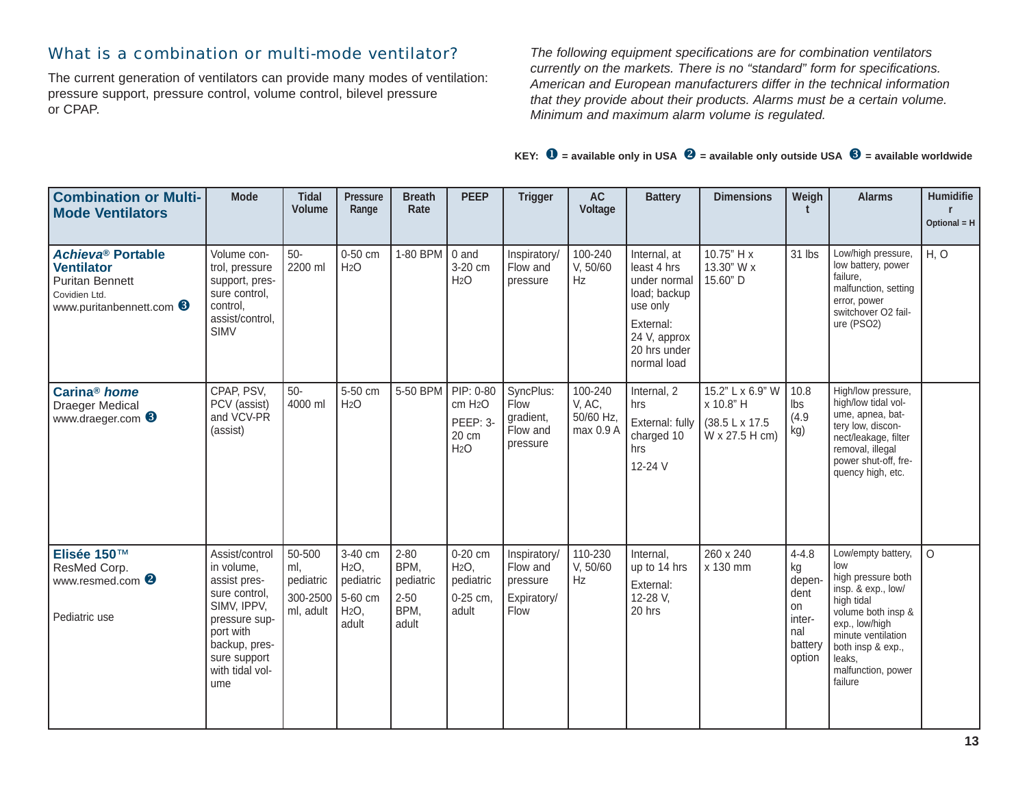## What is a combination or multi-mode ventilator?

The current generation of ventilators can provide many modes of ventilation: pressure support, pressure control, volume control, bilevel pressure or CPAP.

*The following equipment specifications are for combination ventilators currently on the markets. There is no "standard" form for specifications. American and European manufacturers differ in the technical information that they provide about their products. Alarms must be a certain volume. Minimum and maximum alarm volume is regulated.*

| <b>Combination or Multi-</b><br><b>Mode Ventilators</b>                                                              | <b>Mode</b>                                                                                                                                                           | <b>Tidal</b><br><b>Volume</b>                       | <b>Pressure</b><br>Range                                                | <b>Breath</b><br>Rate                                      | <b>PEEP</b>                                                               | <b>Trigger</b>                                              | <b>AC</b><br>Voltage                        | <b>Battery</b>                                                                                                                      | <b>Dimensions</b>                                                  | Weigh                                                                         | <b>Alarms</b>                                                                                                                                                                                                     | Humidifie<br>Optional $=$ H |
|----------------------------------------------------------------------------------------------------------------------|-----------------------------------------------------------------------------------------------------------------------------------------------------------------------|-----------------------------------------------------|-------------------------------------------------------------------------|------------------------------------------------------------|---------------------------------------------------------------------------|-------------------------------------------------------------|---------------------------------------------|-------------------------------------------------------------------------------------------------------------------------------------|--------------------------------------------------------------------|-------------------------------------------------------------------------------|-------------------------------------------------------------------------------------------------------------------------------------------------------------------------------------------------------------------|-----------------------------|
| <b>Achieva® Portable</b><br><b>Ventilator</b><br><b>Puritan Bennett</b><br>Covidien Ltd.<br>www.puritanbennett.com 3 | Volume con-<br>trol, pressure<br>support, pres-<br>sure control,<br>control,<br>assist/control,<br><b>SIMV</b>                                                        | $50-$<br>2200 ml                                    | 0-50 cm<br>H <sub>2</sub> O                                             | 1-80 BPM                                                   | 0 and<br>3-20 cm<br>H <sub>2</sub> O                                      | Inspiratory/<br>Flow and<br>pressure                        | 100-240<br>V, 50/60<br><b>Hz</b>            | Internal, at<br>least 4 hrs<br>under normal<br>load; backup<br>use only<br>External:<br>24 V, approx<br>20 hrs under<br>normal load | 10.75" H x<br>13.30" W x<br>15.60" D                               | 31 lbs                                                                        | Low/high pressure,<br>low battery, power<br>failure.<br>malfunction, setting<br>error, power<br>switchover O2 fail-<br>ure (PSO2)                                                                                 | H, O                        |
| Carina <sup>®</sup> home<br><b>Draeger Medical</b><br>www.draeger.com <sup>6</sup>                                   | CPAP, PSV,<br>PCV (assist)<br>and VCV-PR<br>(assist)                                                                                                                  | $50-$<br>4000 ml                                    | 5-50 cm<br>H <sub>2</sub> O                                             | 5-50 BPM                                                   | PIP: 0-80<br>cm H <sub>2</sub> O<br>PEEP: 3-<br>20 cm<br>H <sub>2</sub> O | SyncPlus:<br>Flow<br>gradient,<br>Flow and<br>pressure      | 100-240<br>V, AC,<br>50/60 Hz,<br>max 0.9 A | Internal, 2<br>hrs<br>External: fully<br>charged 10<br>hrs<br>12-24 V                                                               | 15.2" L x 6.9" W<br>x 10.8" H<br>(38.5 L x 17.5)<br>W x 27.5 H cm) | 10.8<br>Ibs<br>(4.9)<br>kg)                                                   | High/low pressure,<br>high/low tidal vol-<br>ume, apnea, bat-<br>tery low, discon-<br>nect/leakage, filter<br>removal, illegal<br>power shut-off, fre-<br>quency high, etc.                                       |                             |
| Elisée 150™<br>ResMed Corp.<br>www.resmed.com <sup><sup>2</sup></sup><br>Pediatric use                               | Assist/control<br>in volume,<br>assist pres-<br>sure control.<br>SIMV, IPPV,<br>pressure sup-<br>port with<br>backup, pres-<br>sure support<br>with tidal vol-<br>ume | 50-500<br>ml,<br>pediatric<br>300-2500<br>ml, adult | 3-40 cm<br>H <sub>2</sub> O<br>pediatric<br>5-60 cm<br>$H2O$ .<br>adult | $2 - 80$<br>BPM,<br>pediatric<br>$2 - 50$<br>BPM,<br>adult | 0-20 cm<br>H <sub>2</sub> O<br>pediatric<br>0-25 cm,<br>adult             | Inspiratory/<br>Flow and<br>pressure<br>Expiratory/<br>Flow | 110-230<br>V, 50/60<br>Hz                   | Internal.<br>up to 14 hrs<br>External:<br>12-28 V,<br>20 hrs                                                                        | 260 x 240<br>x 130 mm                                              | $4 - 4.8$<br>kg<br>depen-<br>dent<br>on<br>inter-<br>nal<br>battery<br>option | Low/empty battery,<br>low<br>high pressure both<br>insp. & exp., low/<br>high tidal<br>volume both insp &<br>exp., low/high<br>minute ventilation<br>both insp & exp.,<br>leaks.<br>malfunction, power<br>failure | $\Omega$                    |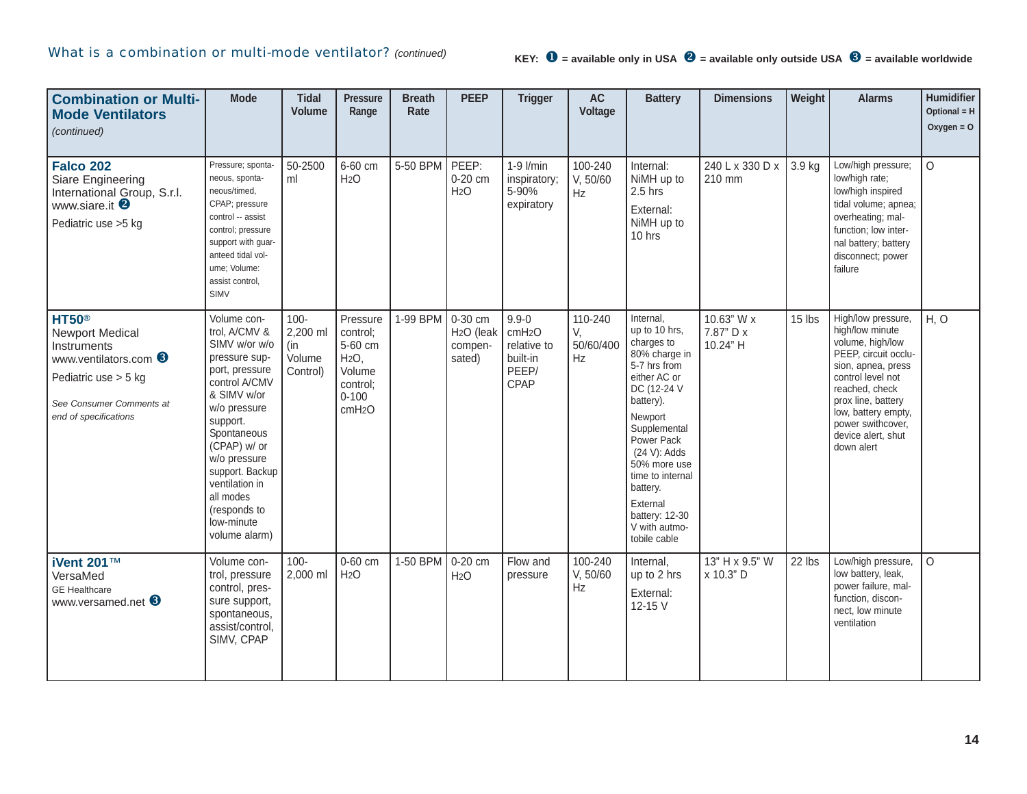| <b>Combination or Multi-</b><br><b>Mode Ventilators</b><br>(continued)                                                                                      | <b>Mode</b>                                                                                                                                                                                                                                                                                  | <b>Tidal</b><br><b>Volume</b>                    | Pressure<br>Range                                                                                            | <b>Breath</b><br>Rate | <b>PEEP</b>                                            | <b>Trigger</b>                                                                     | <b>AC</b><br>Voltage             | <b>Battery</b>                                                                                                                                                                                                                                                                                | <b>Dimensions</b>                   | Weight | <b>Alarms</b>                                                                                                                                                                                                                                        | Humidifier<br>Optional = H<br>Oxygen = $O$ |
|-------------------------------------------------------------------------------------------------------------------------------------------------------------|----------------------------------------------------------------------------------------------------------------------------------------------------------------------------------------------------------------------------------------------------------------------------------------------|--------------------------------------------------|--------------------------------------------------------------------------------------------------------------|-----------------------|--------------------------------------------------------|------------------------------------------------------------------------------------|----------------------------------|-----------------------------------------------------------------------------------------------------------------------------------------------------------------------------------------------------------------------------------------------------------------------------------------------|-------------------------------------|--------|------------------------------------------------------------------------------------------------------------------------------------------------------------------------------------------------------------------------------------------------------|--------------------------------------------|
| <b>Falco 202</b><br>Siare Engineering<br>International Group, S.r.l.<br>www.siare.it <sup>2</sup><br>Pediatric use > 5 kg                                   | Pressure; sponta-<br>neous, sponta-<br>neous/timed,<br>CPAP; pressure<br>control -- assist<br>control; pressure<br>support with guar-<br>anteed tidal vol-<br>ume; Volume:<br>assist control,<br>SIMV                                                                                        | 50-2500<br>ml                                    | 6-60 cm<br>H <sub>2</sub> O                                                                                  | 5-50 BPM              | PEEP:<br>$0-20$ cm<br>H <sub>2</sub> O                 | $1-9$ l/min<br>inspiratory;<br>5-90%<br>expiratory                                 | 100-240<br>V, 50/60<br>Hz        | Internal:<br>NiMH up to<br>$2.5$ hrs<br>External:<br>NiMH up to<br>10 hrs                                                                                                                                                                                                                     | 240 L x 330 D x<br>210 mm           | 3.9 kg | Low/high pressure;<br>low/high rate;<br>low/high inspired<br>tidal volume; apnea;<br>overheating; mal-<br>function; low inter-<br>nal battery; battery<br>disconnect; power<br>failure                                                               | $\circ$                                    |
| <b>HT50®</b><br><b>Newport Medical</b><br>Instruments<br>www.ventilators.com 6<br>Pediatric use > 5 kg<br>See Consumer Comments at<br>end of specifications | Volume con-<br>trol, A/CMV &<br>SIMV w/or w/o<br>pressure sup-<br>port, pressure<br>control A/CMV<br>& SIMV w/or<br>w/o pressure<br>support.<br>Spontaneous<br>(CPAP) w/ or<br>w/o pressure<br>support. Backup<br>ventilation in<br>all modes<br>(responds to<br>low-minute<br>volume alarm) | $100 -$<br>2,200 ml<br>(in<br>Volume<br>Control) | Pressure<br>control;<br>5-60 cm<br>H <sub>2</sub> O<br>Volume<br>control;<br>$0 - 100$<br>cmH <sub>2</sub> O | 1-99 BPM              | 0-30 cm<br>H <sub>2</sub> O (leak<br>compen-<br>sated) | $9.9 - 0$<br>cmH <sub>2</sub> O<br>relative to<br>built-in<br>PEEP/<br><b>CPAP</b> | 110-240<br>V.<br>50/60/400<br>Hz | Internal,<br>up to 10 hrs,<br>charges to<br>80% charge in<br>5-7 hrs from<br>either AC or<br>DC (12-24 V<br>battery).<br>Newport<br>Supplemental<br>Power Pack<br>(24 V): Adds<br>50% more use<br>time to internal<br>battery.<br>External<br>battery: 12-30<br>V with autmo-<br>tobile cable | 10.63" W x<br>7.87" D x<br>10.24" H | 15 lbs | High/low pressure,<br>high/low minute<br>volume, high/low<br>PEEP, circuit occlu-<br>sion, apnea, press<br>control level not<br>reached, check<br>prox line, battery<br>low, battery empty,<br>power swithcover,<br>device alert, shut<br>down alert | H, O                                       |
| iVent 201™<br>VersaMed<br><b>GE</b> Healthcare<br>www.versamed.net <b>6</b>                                                                                 | Volume con-<br>trol, pressure<br>control, pres-<br>sure support,<br>spontaneous,<br>assist/control,<br>SIMV, CPAP                                                                                                                                                                            | $100 -$<br>2,000 ml                              | 0-60 cm<br>H <sub>2</sub> O                                                                                  | 1-50 BPM              | 0-20 cm<br>H <sub>2</sub> O                            | Flow and<br>pressure                                                               | 100-240<br>V, 50/60<br>Hz        | Internal.<br>up to 2 hrs<br>External:<br>12-15 V                                                                                                                                                                                                                                              | 13" H x 9.5" W<br>x 10.3" D         | 22 lbs | Low/high pressure,<br>low battery, leak,<br>power failure, mal-<br>function, discon-<br>nect, low minute<br>ventilation                                                                                                                              | $\Omega$                                   |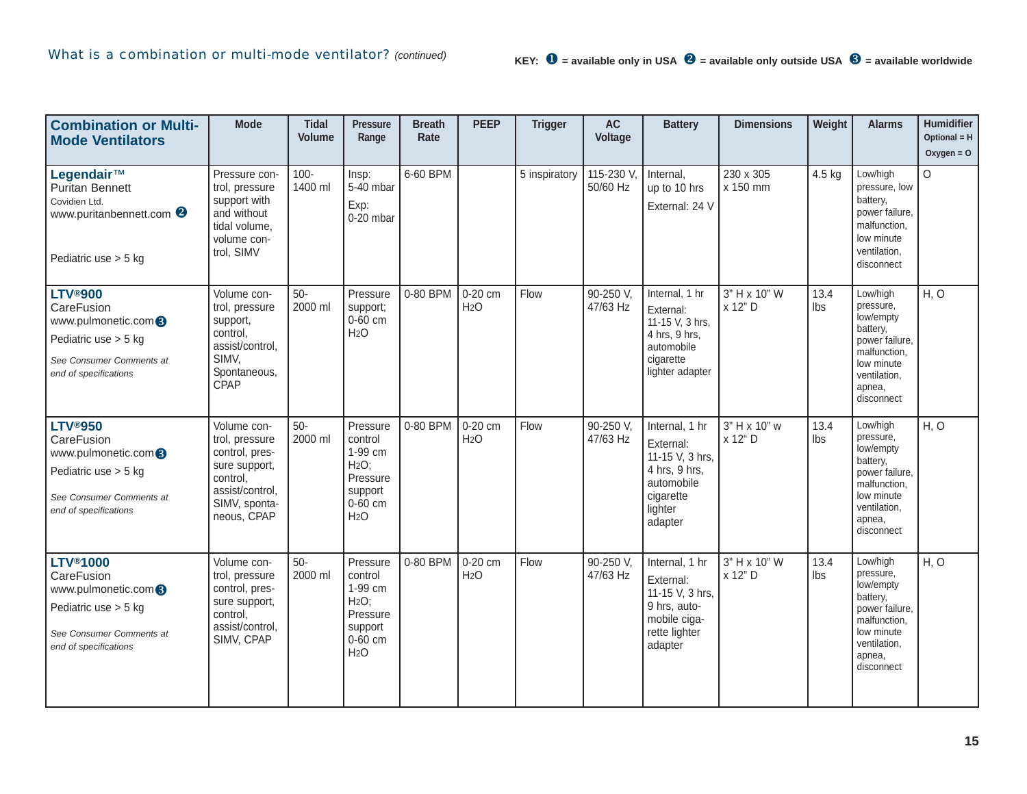| <b>Combination or Multi-</b><br><b>Mode Ventilators</b>                                                                                                  | <b>Mode</b>                                                                                                                     | <b>Tidal</b><br><b>Volume</b> | <b>Pressure</b><br>Range                                                                       | <b>Breath</b><br>Rate | <b>PEEP</b>                 | <b>Trigger</b> | <b>AC</b><br>Voltage  | <b>Battery</b>                                                                                                   | <b>Dimensions</b>       | Weight      | <b>Alarms</b>                                                                                                                          | Humidifier<br>Optional = H<br>Oxygen = $O$ |
|----------------------------------------------------------------------------------------------------------------------------------------------------------|---------------------------------------------------------------------------------------------------------------------------------|-------------------------------|------------------------------------------------------------------------------------------------|-----------------------|-----------------------------|----------------|-----------------------|------------------------------------------------------------------------------------------------------------------|-------------------------|-------------|----------------------------------------------------------------------------------------------------------------------------------------|--------------------------------------------|
| Legendair™<br><b>Puritan Bennett</b><br>Covidien Ltd.<br>www.puritanbennett.com <sup>2</sup><br>Pediatric use $> 5$ kg                                   | Pressure con-<br>trol, pressure<br>support with<br>and without<br>tidal volume,<br>volume con-<br>trol, SIMV                    | $100 -$<br>1400 ml            | Insp:<br>$5-40$ mbar<br>Exp:<br>0-20 mbar                                                      | 6-60 BPM              |                             | 5 inspiratory  | 115-230 V<br>50/60 Hz | Internal,<br>up to 10 hrs<br>External: 24 V                                                                      | 230 x 305<br>x 150 mm   | 4.5 kg      | Low/high<br>pressure, low<br>battery,<br>power failure,<br>malfunction,<br>low minute<br>ventilation,<br>disconnect                    | $\Omega$                                   |
| <b>LTV®900</b><br>CareFusion<br>www.pulmonetic.com <sup>6</sup><br>Pediatric use $> 5$ kg<br>See Consumer Comments at<br>end of specifications           | Volume con-<br>trol, pressure<br>support,<br>control,<br>assist/control,<br>SIMV,<br>Spontaneous,<br>CPAP                       | $50-$<br>2000 ml              | Pressure<br>support;<br>0-60 cm<br>H <sub>2</sub> O                                            | 0-80 BPM              | 0-20 cm<br>H <sub>2</sub> O | Flow           | 90-250 V.<br>47/63 Hz | Internal, 1 hr<br>External:<br>11-15 V, 3 hrs,<br>4 hrs, 9 hrs,<br>automobile<br>cigarette<br>lighter adapter    | 3" H x 10" W<br>x 12" D | 13.4<br>lbs | Low/high<br>pressure,<br>low/empty<br>battery,<br>power failure,<br>malfunction,<br>low minute<br>ventilation,<br>apnea,<br>disconnect | H, O                                       |
| <b>LTV®950</b><br>CareFusion<br>www.pulmonetic.com <sup>3</sup><br>Pediatric use > 5 kg<br>See Consumer Comments at<br>end of specifications             | Volume con-<br>trol, pressure<br>control, pres-<br>sure support,<br>control,<br>assist/control,<br>SIMV, sponta-<br>neous, CPAP | $50-$<br>2000 ml              | Pressure<br>control<br>1-99 cm<br>H2O;<br>Pressure<br>support<br>0-60 cm<br>H <sub>2</sub> O   | 0-80 BPM              | 0-20 cm<br>H <sub>2</sub> O | Flow           | 90-250 V,<br>47/63 Hz | Internal, 1 hr<br>External:<br>11-15 V, 3 hrs,<br>4 hrs, 9 hrs,<br>automobile<br>cigarette<br>lighter<br>adapter | 3" H x 10" w<br>x 12" D | 13.4<br>lbs | Low/high<br>pressure,<br>low/empty<br>battery,<br>power failure,<br>malfunction,<br>low minute<br>ventilation,<br>apnea,<br>disconnect | H, O                                       |
| <b>LTV<sup>®</sup>1000</b><br>CareFusion<br>www.pulmonetic.com <sup>8</sup><br>Pediatric use > 5 kg<br>See Consumer Comments at<br>end of specifications | Volume con-<br>trol, pressure<br>control, pres-<br>sure support,<br>control,<br>assist/control,<br>SIMV, CPAP                   | $50-$<br>2000 ml              | Pressure<br>control<br>1-99 cm<br>H2O;<br>Pressure<br>support<br>$0-60$ cm<br>H <sub>2</sub> O | 0-80 BPM              | 0-20 cm<br>H <sub>2</sub> O | Flow           | 90-250 V,<br>47/63 Hz | Internal, 1 hr<br>External:<br>11-15 V, 3 hrs,<br>9 hrs, auto-<br>mobile ciga-<br>rette lighter<br>adapter       | 3" H x 10" W<br>x 12" D | 13.4<br>lbs | Low/high<br>pressure,<br>low/empty<br>battery,<br>power failure,<br>malfunction,<br>low minute<br>ventilation,<br>apnea,<br>disconnect | H, O                                       |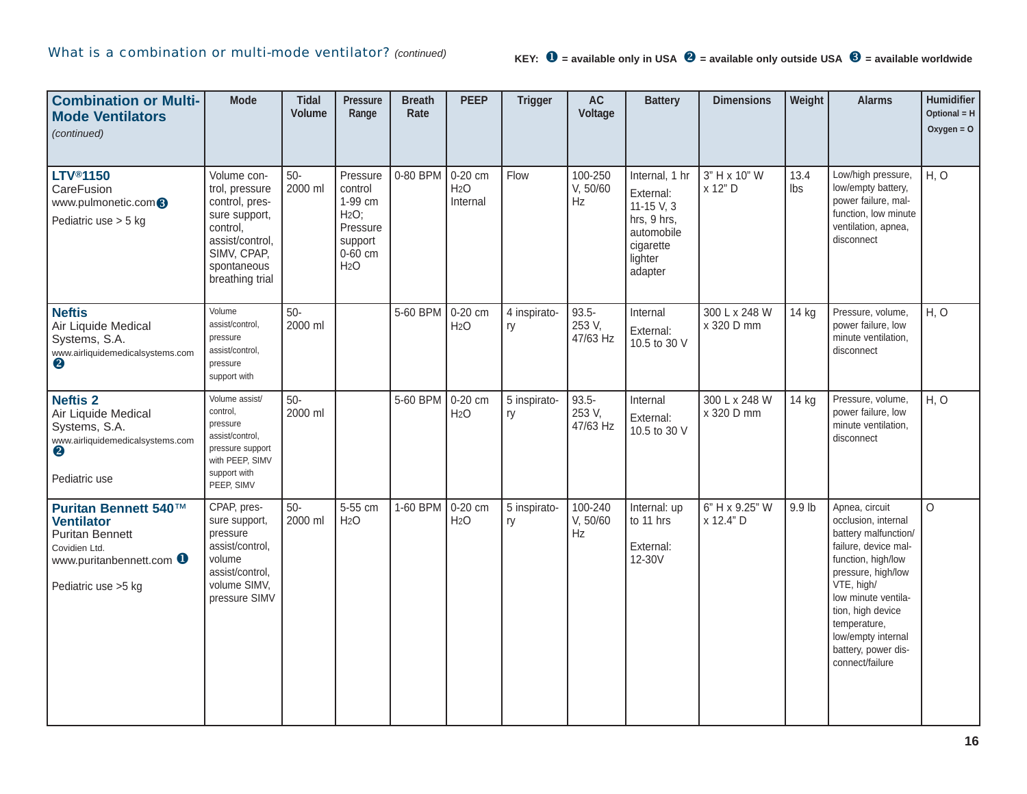| <b>Combination or Multi-</b><br><b>Mode Ventilators</b><br>(continued)                                                                 | <b>Mode</b>                                                                                                                                      | <b>Tidal</b><br><b>Volume</b> | <b>Pressure</b><br>Range                                                                                  | <b>Breath</b><br>Rate | <b>PEEP</b>                             | <b>Trigger</b>     | <b>AC</b><br>Voltage             | <b>Battery</b>                                                                                                | <b>Dimensions</b>           | Weight      | <b>Alarms</b>                                                                                                                                                                                                                                                               | Humidifier<br>Optional = $H$<br>Oxygen = $O$ |
|----------------------------------------------------------------------------------------------------------------------------------------|--------------------------------------------------------------------------------------------------------------------------------------------------|-------------------------------|-----------------------------------------------------------------------------------------------------------|-----------------------|-----------------------------------------|--------------------|----------------------------------|---------------------------------------------------------------------------------------------------------------|-----------------------------|-------------|-----------------------------------------------------------------------------------------------------------------------------------------------------------------------------------------------------------------------------------------------------------------------------|----------------------------------------------|
| <b>LTV®1150</b><br>CareFusion<br>www.pulmonetic.com <sup>8</sup><br>Pediatric use > 5 kg                                               | Volume con-<br>trol, pressure<br>control, pres-<br>sure support,<br>control,<br>assist/control,<br>SIMV, CPAP,<br>spontaneous<br>breathing trial | $50-$<br>2000 ml              | Pressure<br>control<br>1-99 cm<br>H <sub>2</sub> O;<br>Pressure<br>support<br>0-60 cm<br>H <sub>2</sub> O | 0-80 BPM              | 0-20 cm<br>H <sub>2</sub> O<br>Internal | Flow               | 100-250<br>V, 50/60<br>Hz        | Internal, 1 hr<br>External:<br>$11 - 15$ V, 3<br>hrs, 9 hrs,<br>automobile<br>cigarette<br>lighter<br>adapter | 3" H x 10" W<br>x 12" D     | 13.4<br>lbs | Low/high pressure,<br>low/empty battery,<br>power failure, mal-<br>function, low minute<br>ventilation, apnea,<br>disconnect                                                                                                                                                | H, O                                         |
| <b>Neftis</b><br>Air Liquide Medical<br>Systems, S.A.<br>www.airliquidemedicalsystems.com<br>$\boldsymbol{Q}$                          | Volume<br>assist/control,<br>pressure<br>assist/control,<br>pressure<br>support with                                                             | $50-$<br>2000 ml              |                                                                                                           | 5-60 BPM              | 0-20 cm<br>H <sub>2</sub> O             | 4 inspirato-<br>ry | $93.5 -$<br>253 V,<br>47/63 Hz   | Internal<br>External:<br>10.5 to 30 V                                                                         | 300 L x 248 W<br>x 320 D mm | 14 kg       | Pressure, volume,<br>power failure, low<br>minute ventilation,<br>disconnect                                                                                                                                                                                                | H, O                                         |
| <b>Neftis 2</b><br>Air Liquide Medical<br>Systems, S.A.<br>www.airliquidemedicalsystems.com<br>2<br>Pediatric use                      | Volume assist/<br>control,<br>pressure<br>assist/control,<br>pressure support<br>with PEEP, SIMV<br>support with<br>PEEP, SIMV                   | $50-$<br>2000 ml              |                                                                                                           | 5-60 BPM              | 0-20 cm<br>H <sub>2</sub> O             | 5 inspirato-<br>ry | $93.5 -$<br>253 V,<br>47/63 Hz   | Internal<br>External:<br>10.5 to 30 V                                                                         | 300 L x 248 W<br>x 320 D mm | 14 kg       | Pressure, volume,<br>power failure, low<br>minute ventilation,<br>disconnect                                                                                                                                                                                                | H, O                                         |
| Puritan Bennett 540™<br><b>Ventilator</b><br><b>Puritan Bennett</b><br>Covidien Ltd.<br>www.puritanbennett.com<br>Pediatric use > 5 kg | CPAP, pres-<br>sure support,<br>pressure<br>assist/control,<br>volume<br>assist/control,<br>volume SIMV,<br>pressure SIMV                        | $50-$<br>2000 ml              | 5-55 cm<br>H <sub>2</sub> O                                                                               | 1-60 BPM              | 0-20 cm<br>H <sub>2</sub> O             | 5 inspirato-<br>ry | 100-240<br>V, 50/60<br><b>Hz</b> | Internal: up<br>to 11 hrs<br>External:<br>12-30V                                                              | 6" H x 9.25" W<br>x 12.4" D | 9.9 lb      | Apnea, circuit<br>occlusion, internal<br>battery malfunction/<br>failure, device mal-<br>function, high/low<br>pressure, high/low<br>VTE, high/<br>low minute ventila-<br>tion, high device<br>temperature,<br>low/empty internal<br>battery, power dis-<br>connect/failure | $\Omega$                                     |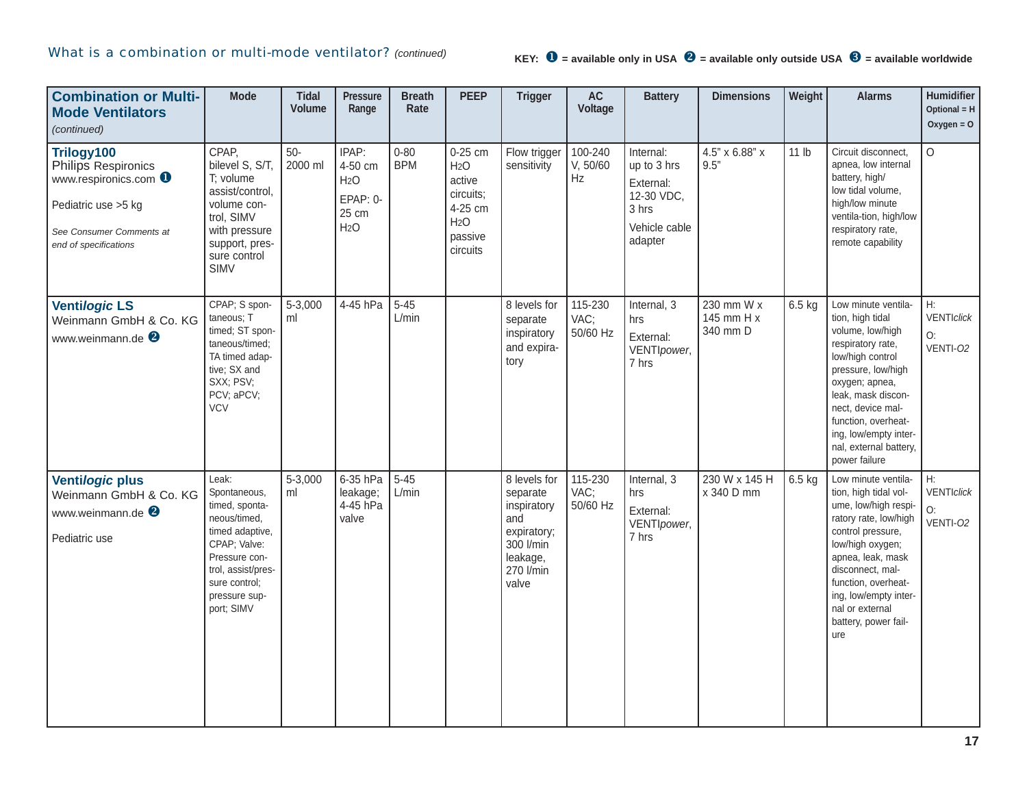| <b>Combination or Multi-</b><br><b>Mode Ventilators</b><br>(continued)                                                                         | <b>Mode</b>                                                                                                                                                                       | <b>Tidal</b><br><b>Volume</b> | <b>Pressure</b><br>Range                                                      | <b>Breath</b><br>Rate  | <b>PEEP</b>                                                                                              | <b>Trigger</b>                                                                                               | AC<br>Voltage               | <b>Battery</b>                                                                           | <b>Dimensions</b>                    | Weight   | <b>Alarms</b>                                                                                                                                                                                                                                                                      | <b>Humidifier</b><br>Optional = $H$<br>Oxygen = $O$ |
|------------------------------------------------------------------------------------------------------------------------------------------------|-----------------------------------------------------------------------------------------------------------------------------------------------------------------------------------|-------------------------------|-------------------------------------------------------------------------------|------------------------|----------------------------------------------------------------------------------------------------------|--------------------------------------------------------------------------------------------------------------|-----------------------------|------------------------------------------------------------------------------------------|--------------------------------------|----------|------------------------------------------------------------------------------------------------------------------------------------------------------------------------------------------------------------------------------------------------------------------------------------|-----------------------------------------------------|
| Trilogy100<br>Philips Respironics<br>www.respironics.com <b>O</b><br>Pediatric use > 5 kg<br>See Consumer Comments at<br>end of specifications | CPAP,<br>bilevel S, S/T,<br>T; volume<br>assist/control,<br>volume con-<br>trol, SIMV<br>with pressure<br>support, pres-<br>sure control<br>SIMV                                  | $50-$<br>2000 ml              | IPAP:<br>4-50 cm<br>H <sub>2</sub> O<br>EPAP: 0-<br>25 cm<br>H <sub>2</sub> O | $0 - 80$<br><b>BPM</b> | 0-25 cm<br>H <sub>2</sub> O<br>active<br>circuits;<br>4-25 cm<br>H <sub>2</sub> O<br>passive<br>circuits | Flow trigger<br>sensitivity                                                                                  | 100-240<br>V, 50/60<br>Hz   | Internal:<br>up to 3 hrs<br>External:<br>12-30 VDC,<br>3 hrs<br>Vehicle cable<br>adapter | 4.5" x 6.88" x<br>9.5"               | 11 lb    | Circuit disconnect,<br>apnea, low internal<br>battery, high/<br>low tidal volume,<br>high/low minute<br>ventila-tion, high/low<br>respiratory rate,<br>remote capability                                                                                                           | $\Omega$                                            |
| <b>Ventilogic LS</b><br>Weinmann GmbH & Co. KG<br>www.weinmann.de <sup>2</sup>                                                                 | CPAP; S spon-<br>taneous; T<br>timed; ST spon-<br>taneous/timed;<br>TA timed adap-<br>tive; SX and<br>SXX; PSV;<br>PCV; aPCV;<br><b>VCV</b>                                       | 5-3,000<br>ml                 | 4-45 hPa                                                                      | $5 - 45$<br>L/min      |                                                                                                          | 8 levels for<br>separate<br>inspiratory<br>and expira-<br>tory                                               | 115-230<br>VAC;<br>50/60 Hz | Internal, 3<br>hrs<br>External:<br>VENTIpower,<br>7 hrs                                  | 230 mm W x<br>145 mm H x<br>340 mm D | $6.5$ kg | Low minute ventila-<br>tion, high tidal<br>volume, low/high<br>respiratory rate,<br>low/high control<br>pressure, low/high<br>oxygen; apnea,<br>leak, mask discon-<br>nect, device mal-<br>function, overheat-<br>ing, low/empty inter-<br>nal, external battery,<br>power failure | H:<br>VENTIclick<br>O:<br>VENTI-02                  |
| Ventilogic plus<br>Weinmann GmbH & Co. KG<br>www.weinmann.de <sup>2</sup><br>Pediatric use                                                     | Leak:<br>Spontaneous,<br>timed, sponta-<br>neous/timed.<br>timed adaptive,<br>CPAP; Valve:<br>Pressure con-<br>trol, assist/pres-<br>sure control:<br>pressure sup-<br>port; SIMV | 5-3,000<br>ml                 | 6-35 hPa<br>leakage;<br>4-45 hPa<br>valve                                     | $5 - 45$<br>L/min      |                                                                                                          | 8 levels for<br>separate<br>inspiratory<br>and<br>expiratory;<br>300 l/min<br>leakage,<br>270 l/min<br>valve | 115-230<br>VAC;<br>50/60 Hz | Internal, 3<br>hrs<br>External:<br>VENTIpower,<br>7 hrs                                  | 230 W x 145 H<br>x 340 D mm          | 6.5 kg   | Low minute ventila-<br>tion, high tidal vol-<br>ume, low/high respi-<br>ratory rate, low/high<br>control pressure,<br>low/high oxygen;<br>apnea, leak, mask<br>disconnect, mal-<br>function, overheat-<br>ing, low/empty inter-<br>nal or external<br>battery, power fail-<br>ure  | Н:<br>VENTIclick<br>O:<br>VENTI-02                  |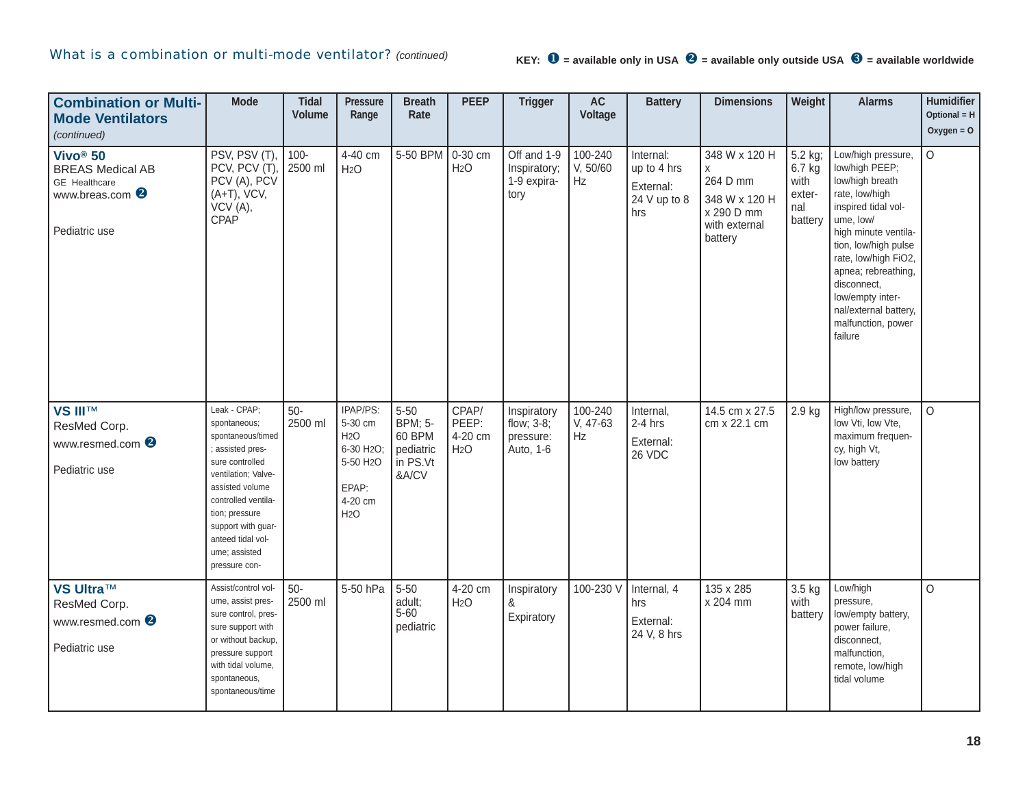# What is a combination or multi-mode ventilator? *(continued)* **KEY: 0** = available only in USA <sup>@</sup> = available only outside USA <sup>@</sup> = available worldwide

| <b>Combination or Multi-</b><br><b>Mode Ventilators</b><br>(continued)                                          | <b>Mode</b>                                                                                                                                                                                                                                            | <b>Tidal</b><br><b>Volume</b> | <b>Pressure</b><br>Range                                                                                              | <b>Breath</b><br>Rate                                                   | <b>PEEP</b>                                   | <b>Trigger</b>                                      | <b>AC</b><br>Voltage      | <b>Battery</b>                                               | <b>Dimensions</b>                                                                         | Weight                                                | <b>Alarms</b>                                                                                                                                                                                                                                                                                             | Humidifier<br>Optional = $H$<br>Oxygen = $O$ |
|-----------------------------------------------------------------------------------------------------------------|--------------------------------------------------------------------------------------------------------------------------------------------------------------------------------------------------------------------------------------------------------|-------------------------------|-----------------------------------------------------------------------------------------------------------------------|-------------------------------------------------------------------------|-----------------------------------------------|-----------------------------------------------------|---------------------------|--------------------------------------------------------------|-------------------------------------------------------------------------------------------|-------------------------------------------------------|-----------------------------------------------------------------------------------------------------------------------------------------------------------------------------------------------------------------------------------------------------------------------------------------------------------|----------------------------------------------|
| Vivo <sup>®</sup> 50<br><b>BREAS Medical AB</b><br>GE Healthcare<br>www.breas.com <sup>2</sup><br>Pediatric use | PSV, PSV (T)<br>PCV, PCV (T)<br>PCV (A), PCV<br>$(A+T)$ , VCV,<br>VCV(A),<br>CPAP                                                                                                                                                                      | $100 -$<br>2500 ml            | 4-40 cm<br>H <sub>2</sub> O                                                                                           | 5-50 BPM                                                                | 0-30 cm<br>H <sub>2</sub> O                   | Off and 1-9<br>Inspiratory;<br>1-9 expira-<br>tory  | 100-240<br>V, 50/60<br>Hz | Internal:<br>up to 4 hrs<br>External:<br>24 V up to 8<br>hrs | 348 W x 120 H<br>X<br>264 D mm<br>348 W x 120 H<br>x 290 D mm<br>with external<br>battery | 5.2 kg;<br>6.7 kg<br>with<br>exter-<br>nal<br>battery | Low/high pressure,<br>low/high PEEP;<br>low/high breath<br>rate, low/high<br>inspired tidal vol-<br>ume, low/<br>high minute ventila-<br>tion, low/high pulse<br>rate, low/high FiO2,<br>apnea; rebreathing,<br>disconnect,<br>low/empty inter-<br>nal/external battery,<br>malfunction, power<br>failure | $\circ$                                      |
| <b>VS III™</b><br>ResMed Corp.<br>www.resmed.com <sup>2</sup><br>Pediatric use                                  | Leak - CPAP;<br>spontaneous;<br>spontaneous/timed<br>assisted pres-<br>sure controlled<br>ventilation; Valve-<br>assisted volume<br>controlled ventila-<br>tion; pressure<br>support with guar-<br>anteed tidal vol-<br>ume; assisted<br>pressure con- | $50-$<br>2500 ml              | IPAP/PS:<br>5-30 cm<br>H <sub>2</sub> O<br>6-30 H <sub>2</sub> O;<br>5-50 H <sub>2</sub> O<br>EPAP:<br>4-20 cm<br>H2O | $5 - 50$<br><b>BPM</b> ; 5-<br>60 BPM<br>pediatric<br>in PS.Vt<br>&A/CV | CPAP/<br>PEEP:<br>4-20 cm<br>H <sub>2</sub> O | Inspiratory<br>flow; 3-8;<br>pressure:<br>Auto, 1-6 | 100-240<br>V, 47-63<br>Hz | Internal,<br>$2-4$ hrs<br>External:<br>26 VDC                | 14.5 cm x 27.5<br>cm x 22.1 cm                                                            | $2.9$ kg                                              | High/low pressure,<br>low Vti, low Vte,<br>maximum frequen-<br>cy, high Vt,<br>low battery                                                                                                                                                                                                                | $\Omega$                                     |
| <b>VS Ultra™</b><br>ResMed Corp.<br>www.resmed.com <sup>8</sup><br>Pediatric use                                | Assist/control vol-<br>ume, assist pres-<br>sure control, pres-<br>sure support with<br>or without backup,<br>pressure support<br>with tidal volume,<br>spontaneous,<br>spontaneous/time                                                               | $50-$<br>2500 ml              | 5-50 hPa                                                                                                              | $5 - 50$<br>adult;<br>$5 - 60$<br>pediatric                             | 4-20 cm<br>H <sub>2</sub> O                   | Inspiratory<br>&<br>Expiratory                      | 100-230 V                 | Internal, 4<br>hrs<br>External:<br>24 V, 8 hrs               | 135 x 285<br>x 204 mm                                                                     | 3.5 kg<br>with<br>battery                             | Low/high<br>pressure.<br>low/empty battery,<br>power failure,<br>disconnect,<br>malfunction,<br>remote, low/high<br>tidal volume                                                                                                                                                                          | $\Omega$                                     |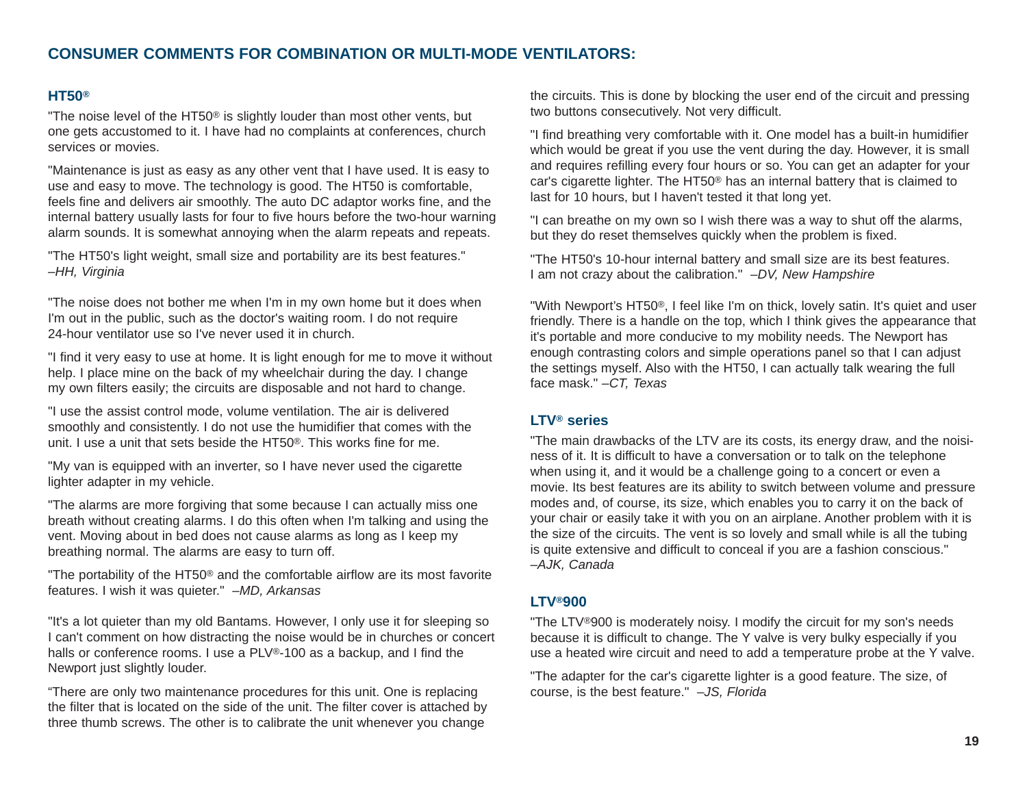## **CONSUMER COMMENTS FOR COMBINATION OR MULTI-MODE VENTILATORS:**

#### **HT50®**

"The noise level of the HT50® is slightly louder than most other vents, but one gets accustomed to it. I have had no complaints at conferences, church services or movies.

"Maintenance is just as easy as any other vent that I have used. It is easy to use and easy to move. The technology is good. The HT50 is comfortable, feels fine and delivers air smoothly. The auto DC adaptor works fine, and the internal battery usually lasts for four to five hours before the two-hour warning alarm sounds. It is somewhat annoying when the alarm repeats and repeats.

"The HT50's light weight, small size and portability are its best features." *–HH, Virginia*

"The noise does not bother me when I'm in my own home but it does when I'm out in the public, such as the doctor's waiting room. I do not require 24-hour ventilator use so I've never used it in church.

"I find it very easy to use at home. It is light enough for me to move it without help. I place mine on the back of my wheelchair during the day. I change my own filters easily; the circuits are disposable and not hard to change.

"I use the assist control mode, volume ventilation. The air is delivered smoothly and consistently. I do not use the humidifier that comes with the unit. I use a unit that sets beside the HT50®. This works fine for me.

"My van is equipped with an inverter, so I have never used the cigarette lighter adapter in my vehicle.

"The alarms are more forgiving that some because I can actually miss one breath without creating alarms. I do this often when I'm talking and using the vent. Moving about in bed does not cause alarms as long as I keep my breathing normal. The alarms are easy to turn off.

"The portability of the HT50® and the comfortable airflow are its most favorite features. I wish it was quieter." *–MD, Arkansas*

"It's a lot quieter than my old Bantams. However, I only use it for sleeping so I can't comment on how distracting the noise would be in churches or concert halls or conference rooms. I use a PLV®-100 as a backup, and I find the Newport just slightly louder.

"There are only two maintenance procedures for this unit. One is replacing the filter that is located on the side of the unit. The filter cover is attached by three thumb screws. The other is to calibrate the unit whenever you change

the circuits. This is done by blocking the user end of the circuit and pressing two buttons consecutively. Not very difficult.

"I find breathing very comfortable with it. One model has a built-in humidifier which would be great if you use the vent during the day. However, it is small and requires refilling every four hours or so. You can get an adapter for your car's cigarette lighter. The HT50® has an internal battery that is claimed to last for 10 hours, but I haven't tested it that long yet.

"I can breathe on my own so I wish there was a way to shut off the alarms, but they do reset themselves quickly when the problem is fixed.

"The HT50's 10-hour internal battery and small size are its best features. I am not crazy about the calibration." *–DV, New Hampshire*

"With Newport's HT50®, I feel like I'm on thick, lovely satin. It's quiet and user friendly. There is a handle on the top, which I think gives the appearance that it's portable and more conducive to my mobility needs. The Newport has enough contrasting colors and simple operations panel so that I can adjust the settings myself. Also with the HT50, I can actually talk wearing the full face mask." *–CT, Texas* 

#### **LTV® series**

"The main drawbacks of the LTV are its costs, its energy draw, and the noisiness of it. It is difficult to have a conversation or to talk on the telephone when using it, and it would be a challenge going to a concert or even a movie. Its best features are its ability to switch between volume and pressure modes and, of course, its size, which enables you to carry it on the back of your chair or easily take it with you on an airplane. Another problem with it is the size of the circuits. The vent is so lovely and small while is all the tubing is quite extensive and difficult to conceal if you are a fashion conscious." *–AJK, Canada*

#### **LTV®900**

"The LTV®900 is moderately noisy. I modify the circuit for my son's needs because it is difficult to change. The Y valve is very bulky especially if you use a heated wire circuit and need to add a temperature probe at the Y valve.

"The adapter for the car's cigarette lighter is a good feature. The size, of course, is the best feature." *–JS, Florida*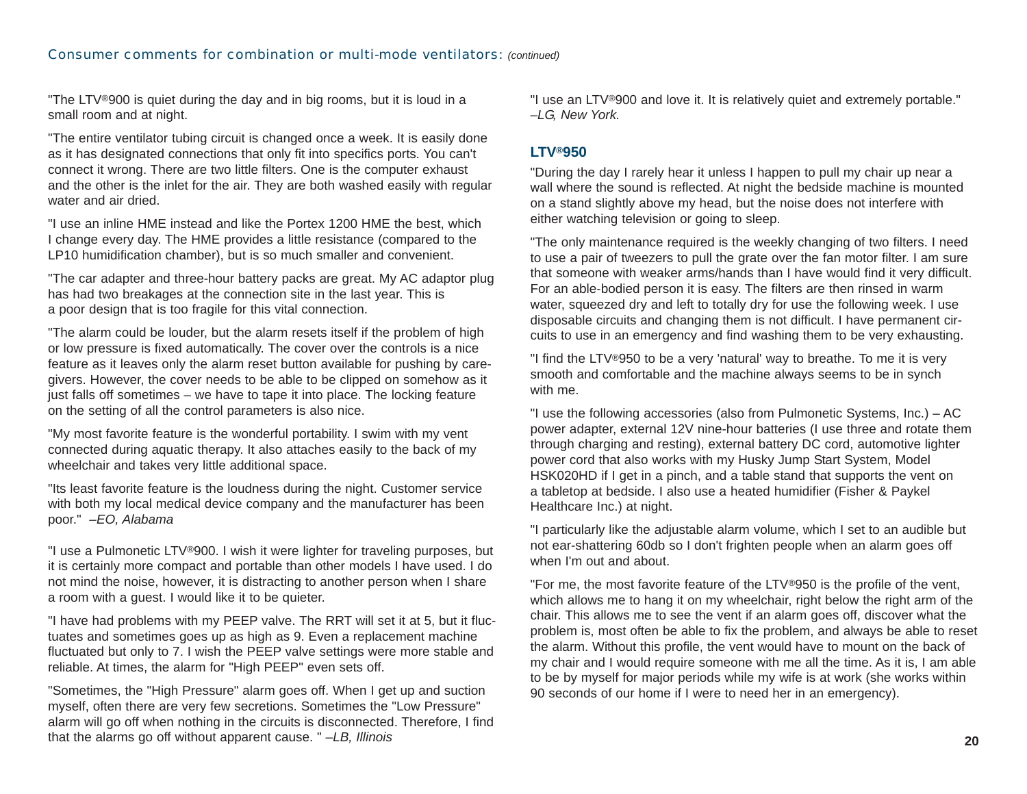"The LTV ®900 is quiet during the day and in big rooms, but it is loud in a small room and at night.

"The entire ventilator tubing circuit is changed once a week. It is easily done as it has designated connections that only fit into specifics ports. You can't connect it wrong. There are two little filters. One is the computer exhaust and the other is the inlet for the air. They are both washed easily with regular water and air dried.

"I use an inline HME instead and like the Portex 1200 HME the best, which I change every day. The HME provides a little resistance (compared to the LP10 humidification chamber), but is so much smaller and convenient.

"The car adapter and three-hour battery packs are great. My AC adaptor plug has had two breakages at the connection site in the last year. This is a poor design that is too fragile for this vital connection.

"The alarm could be louder, but the alarm resets itself if the problem of high or low pressure is fixed automatically. The cover over the controls is a nice feature as it leaves only the alarm reset button available for pushing by caregivers. However, the cover needs to be able to be clipped on somehow as it just falls off sometimes – we have to tape it into place. The locking feature on the setting of all the control parameters is also nice.

"My most favorite feature is the wonderful portability. I swim with my vent connected during aquatic therapy. It also attaches easily to the back of my wheelchair and takes very little additional space.

"Its least favorite feature is the loudness during the night. Customer service with both my local medical device company and the manufacturer has been poor." *–EO, Alabama*

"I use a Pulmonetic LTV ®900. I wish it were lighter for traveling purposes, but it is certainly more compact and portable than other models I have used. I do not mind the noise, however, it is distracting to another person when I share a room with a guest. I would like it to be quieter.

"I have had problems with my PEEP valve. The RRT will set it at 5, but it fluctuates and sometimes goes up as high as 9. Even a replacement machine fluctuated but only to 7. I wish the PEEP valve settings were more stable and reliable. At times, the alarm for "High PEEP" even sets off.

"Sometimes, the "High Pressure" alarm goes off. When I get up and suction myself, often there are very few secretions. Sometimes the "Low Pressure" alarm will go off when nothing in the circuits is disconnected. Therefore, I find that the alarms go off without apparent cause. " *–LB, Illinois*

"I use an LTV ®900 and love it. It is relatively quiet and extremely portable." *–LG, New York.* 

#### **LTV ®950**

"During the day I rarely hear it unless I happen to pull my chair up near a wall where the sound is reflected. At night the bedside machine is mounted on a stand slightly above my head, but the noise does not interfere with either watching television or going to sleep.

"The only maintenance required is the weekly changing of two filters. I need to use a pair of tweezers to pull the grate over the fan motor filter. I am sure that someone with weaker arms/hands than I have would find it very difficult. For an able-bodied person it is easy. The filters are then rinsed in warm water, squeezed dry and left to totally dry for use the following week. I use disposable circuits and changing them is not difficult. I have permanent circuits to use in an emergency and find washing them to be very exhausting.

"I find the LTV ®950 to be a very 'natural' way to breathe. To me it is very smooth and comfortable and the machine always seems to be in synch with me.

"I use the following accessories (also from Pulmonetic Systems, Inc.) – AC power adapter, external 12V nine-hour batteries (I use three and rotate them through charging and resting), external battery DC cord, automotive lighter power cord that also works with my Husky Jump Start System, Model HSK020HD if I get in a pinch, and a table stand that supports the vent on a tabletop at bedside. I also use a heated humidifier (Fisher & Paykel Healthcare Inc.) at night.

"I particularly like the adjustable alarm volume, which I set to an audible but not ear-shattering 60db so I don't frighten people when an alarm goes off when I'm out and about.

"For me, the most favorite feature of the LTV ®950 is the profile of the vent, which allows me to hang it on my wheelchair, right below the right arm of the chair. This allows me to see the vent if an alarm goes off, discover what the problem is, most often be able to fix the problem, and always be able to reset the alarm. Without this profile, the vent would have to mount on the back of my chair and I would require someone with me all the time. As it is, I am able to be by myself for major periods while my wife is at work (she works within 90 seconds of our home if I were to need her in an emergency).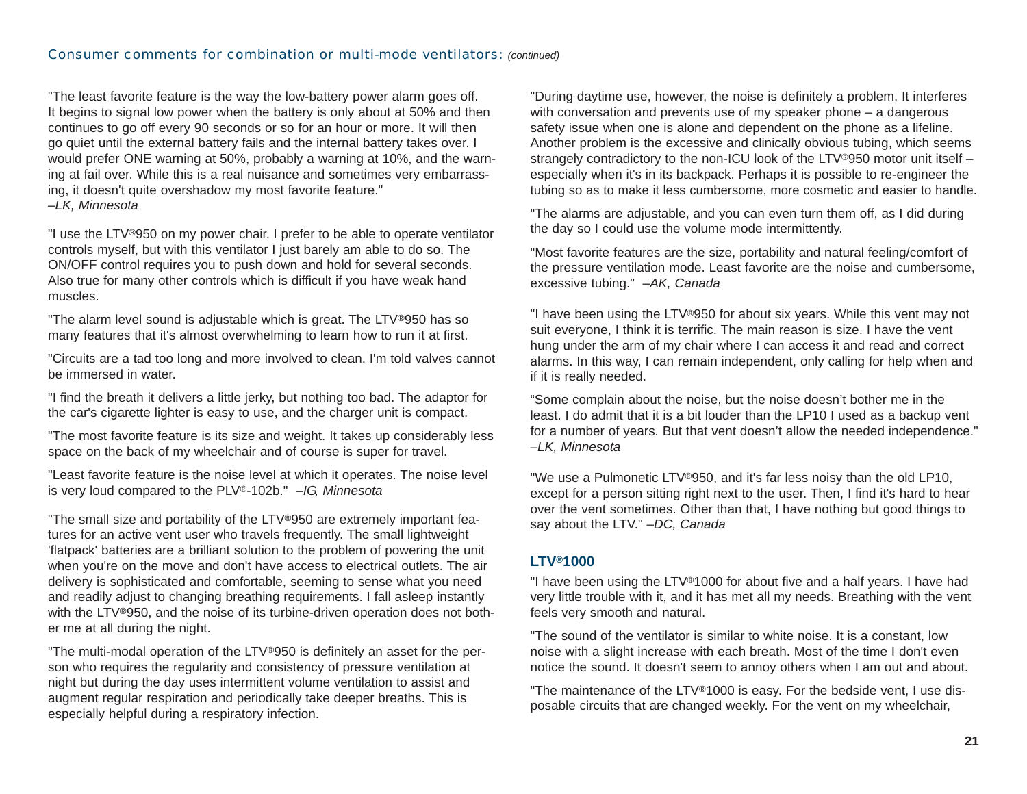"The least favorite feature is the way the low-battery power alarm goes off. It begins to signal low power when the battery is only about at 50% and then continues to go off every 90 seconds or so for an hour or more. It will then go quiet until the external battery fails and the internal battery takes over. I would prefer ONE warning at 50%, probably a warning at 10%, and the warning at fail over. While this is a real nuisance and sometimes very embarrassing, it doesn't quite overshadow my most favorite feature." *–LK, Minnesota*

"I use the LTV®950 on my power chair. I prefer to be able to operate ventilator controls myself, but with this ventilator I just barely am able to do so. The ON/OFF control requires you to push down and hold for several seconds. Also true for many other controls which is difficult if you have weak hand muscles.

"The alarm level sound is adjustable which is great. The LTV®950 has so many features that it's almost overwhelming to learn how to run it at first.

"Circuits are a tad too long and more involved to clean. I'm told valves cannot be immersed in water.

"I find the breath it delivers a little jerky, but nothing too bad. The adaptor for the car's cigarette lighter is easy to use, and the charger unit is compact.

"The most favorite feature is its size and weight. It takes up considerably less space on the back of my wheelchair and of course is super for travel.

"Least favorite feature is the noise level at which it operates. The noise level is very loud compared to the PLV®-102b." *–IG, Minnesota*

"The small size and portability of the LTV®950 are extremely important features for an active vent user who travels frequently. The small lightweight 'flatpack' batteries are a brilliant solution to the problem of powering the unit when you're on the move and don't have access to electrical outlets. The air delivery is sophisticated and comfortable, seeming to sense what you need and readily adjust to changing breathing requirements. I fall asleep instantly with the LTV®950, and the noise of its turbine-driven operation does not bother me at all during the night.

"The multi-modal operation of the LTV®950 is definitely an asset for the person who requires the regularity and consistency of pressure ventilation at night but during the day uses intermittent volume ventilation to assist and augment regular respiration and periodically take deeper breaths. This is especially helpful during a respiratory infection.

"During daytime use, however, the noise is definitely a problem. It interferes with conversation and prevents use of my speaker phone – a dangerous safety issue when one is alone and dependent on the phone as a lifeline. Another problem is the excessive and clinically obvious tubing, which seems strangely contradictory to the non-ICU look of the LTV®950 motor unit itself especially when it's in its backpack. Perhaps it is possible to re-engineer the tubing so as to make it less cumbersome, more cosmetic and easier to handle.

"The alarms are adjustable, and you can even turn them off, as I did during the day so I could use the volume mode intermittently.

"Most favorite features are the size, portability and natural feeling/comfort of the pressure ventilation mode. Least favorite are the noise and cumbersome, excessive tubing." *–AK, Canada*

"I have been using the LTV®950 for about six years. While this vent may not suit everyone, I think it is terrific. The main reason is size. I have the vent hung under the arm of my chair where I can access it and read and correct alarms. In this way, I can remain independent, only calling for help when and if it is really needed.

"Some complain about the noise, but the noise doesn't bother me in the least. I do admit that it is a bit louder than the LP10 I used as a backup vent for a number of years. But that vent doesn't allow the needed independence." *–LK, Minnesota*

"We use a Pulmonetic LTV®950, and it's far less noisy than the old LP10, except for a person sitting right next to the user. Then, I find it's hard to hear over the vent sometimes. Other than that, I have nothing but good things to say about the LTV." *–DC, Canada*

#### **LTV®1000**

"I have been using the LTV®1000 for about five and a half years. I have had very little trouble with it, and it has met all my needs. Breathing with the vent feels very smooth and natural.

"The sound of the ventilator is similar to white noise. It is a constant, low noise with a slight increase with each breath. Most of the time I don't even notice the sound. It doesn't seem to annoy others when I am out and about.

"The maintenance of the LTV®1000 is easy. For the bedside vent, I use disposable circuits that are changed weekly. For the vent on my wheelchair,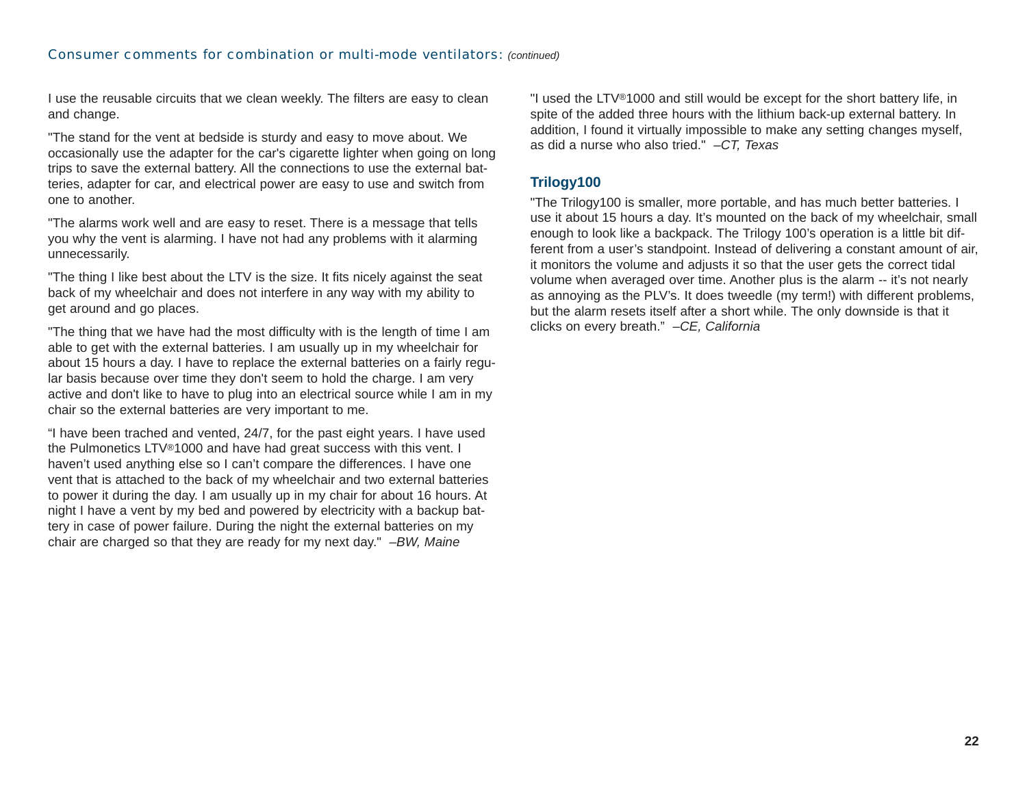I use the reusable circuits that we clean weekly. The filters are easy to clean and change.

"The stand for the vent at bedside is sturdy and easy to move about. We occasionally use the adapter for the car's cigarette lighter when going on long trips to save the external battery. All the connections to use the external batteries, adapter for car, and electrical power are easy to use and switch from one to another.

"The alarms work well and are easy to reset. There is a message that tells you why the vent is alarming. I have not had any problems with it alarming unnecessarily.

"The thing I like best about the LTV is the size. It fits nicely against the seat back of my wheelchair and does not interfere in any way with my ability to get around and go places.

"The thing that we have had the most difficulty with is the length of time I am able to get with the external batteries. I am usually up in my wheelchair for about 15 hours a day. I have to replace the external batteries on a fairly regular basis because over time they don't seem to hold the charge. I am very active and don't like to have to plug into an electrical source while I am in my chair so the external batteries are very important to me.

"I have been trached and vented, 24/7, for the past eight years. I have used the Pulmonetics LTV ®1000 and have had great success with this vent. I haven't used anything else so I can't compare the differences. I have one vent that is attached to the back of my wheelchair and two external batteries to power it during the day. I am usually up in my chair for about 16 hours. At night I have a vent by my bed and powered by electricity with a backup battery in case of power failure. During the night the external batteries on my chair are charged so that they are ready for my next day." *–BW, Maine*

"I used the LTV ®1000 and still would be except for the short battery life, in spite of the added three hours with the lithium back-up external battery. In addition, I found it virtually impossible to make any setting changes myself, as did a nurse who also tried." *–CT, Texas* 

#### **Trilogy100**

"The Trilogy100 is smaller, more portable, and has much better batteries. I use it about 15 hours a day. It's mounted on the back of my wheelchair, small enough to look like a backpack. The Trilogy 100's operation is a little bit different from a user's standpoint. Instead of delivering a constant amount of air, it monitors the volume and adjusts it so that the user gets the correct tidal volume when averaged over time. Another plus is the alarm -- it's not nearly as annoying as the PLV's. It does tweedle (my term!) with different problems, but the alarm resets itself after a short while. The only downside is that it clicks on every breath." *–CE, California*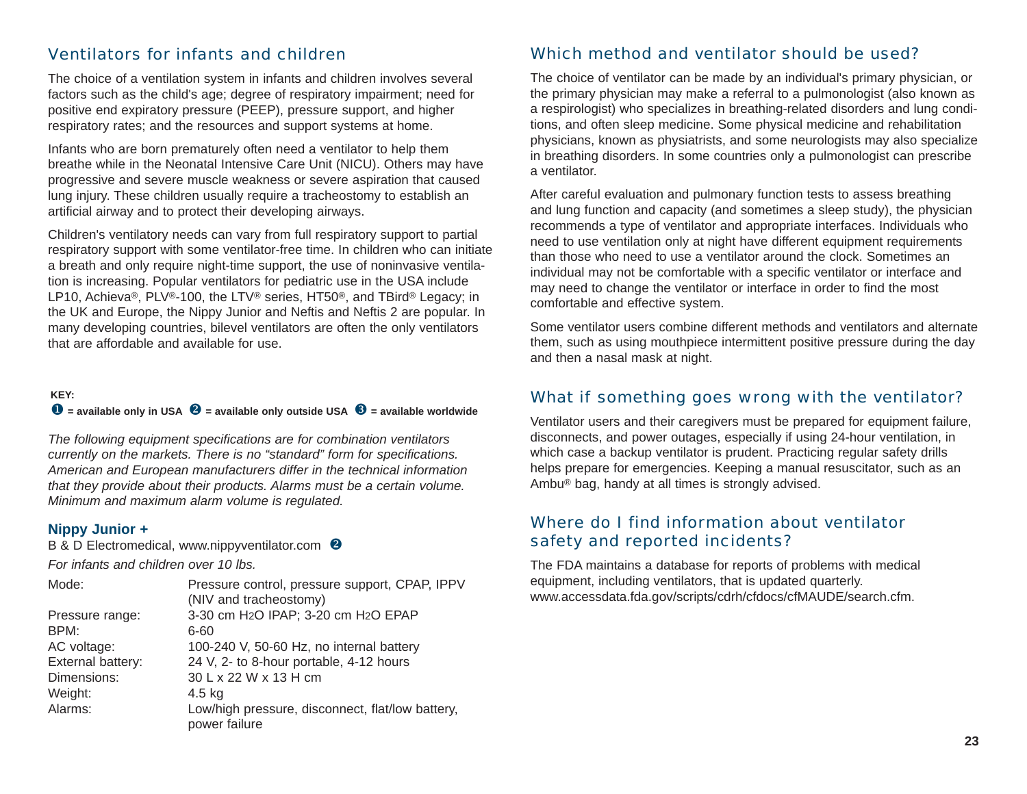## Ventilators for infants and children

The choice of a ventilation system in infants and children involves several factors such as the child's age; degree of respiratory impairment; need for positive end expiratory pressure (PEEP), pressure support, and higher respiratory rates; and the resources and support systems at home.

Infants who are born prematurely often need a ventilator to help them breathe while in the Neonatal Intensive Care Unit (NICU). Others may have progressive and severe muscle weakness or severe aspiration that caused lung injury. These children usually require a tracheostomy to establish an artificial airway and to protect their developing airways.

Children's ventilatory needs can vary from full respiratory support to partial respiratory support with some ventilator-free time. In children who can initiate a breath and only require night-time support, the use of noninvasive ventilation is increasing. Popular ventilators for pediatric use in the USA include LP10, Achieva®, PLV®-100, the LTV® series, HT50®, and TBird® Legacy; in the UK and Europe, the Nippy Junior and Neftis and Neftis 2 are popular. In many developing countries, bilevel ventilators are often the only ventilators that are affordable and available for use.

#### **KEY:**

#### $\bullet$  = available only in USA  $\bullet$  = available only outside USA  $\bullet$  = available worldwide

*The following equipment specifications are for combination ventilators currently on the markets. There is no "standard" form for specifications. American and European manufacturers differ in the technical information that they provide about their products. Alarms must be a certain volume. Minimum and maximum alarm volume is regulated.*

#### **Nippy Junior +**

B & D Electromedical, [www.nippyventilator.com](http://www.nippyventilator.com) <sup>8</sup>

*For infants and children over 10 lbs.*

| Mode:             | Pressure control, pressure support, CPAP, IPPV                    |
|-------------------|-------------------------------------------------------------------|
|                   | (NIV and tracheostomy)                                            |
| Pressure range:   | 3-30 cm H2O IPAP; 3-20 cm H2O EPAP                                |
| BPM:              | 6-60                                                              |
| AC voltage:       | 100-240 V, 50-60 Hz, no internal battery                          |
| External battery: | 24 V, 2- to 8-hour portable, 4-12 hours                           |
| Dimensions:       | 30 L x 22 W x 13 H cm                                             |
| Weight:           | $4.5$ kg                                                          |
| Alarms:           | Low/high pressure, disconnect, flat/low battery,<br>power failure |
|                   |                                                                   |

## Which method and ventilator should be used?

The choice of ventilator can be made by an individual's primary physician, or the primary physician may make a referral to a pulmonologist (also known as a respirologist) who specializes in breathing-related disorders and lung conditions, and often sleep medicine. Some physical medicine and rehabilitation physicians, known as physiatrists, and some neurologists may also specialize in breathing disorders. In some countries only a pulmonologist can prescribe a ventilator.

After careful evaluation and pulmonary function tests to assess breathing and lung function and capacity (and sometimes a sleep study), the physician recommends a type of ventilator and appropriate interfaces. Individuals who need to use ventilation only at night have different equipment requirements than those who need to use a ventilator around the clock. Sometimes an individual may not be comfortable with a specific ventilator or interface and may need to change the ventilator or interface in order to find the most comfortable and effective system.

Some ventilator users combine different methods and ventilators and alternate them, such as using mouthpiece intermittent positive pressure during the day and then a nasal mask at night.

## What if something goes wrong with the ventilator?

Ventilator users and their caregivers must be prepared for equipment failure, disconnects, and power outages, especially if using 24-hour ventilation, in which case a backup ventilator is prudent. Practicing regular safety drills helps prepare for emergencies. Keeping a manual resuscitator, such as an Ambu® bag, handy at all times is strongly advised.

## Where do I find information about ventilator safety and reported incidents?

The FDA maintains a database for reports of problems with medical equipment, including ventilators, that is updated quarterly. [www.accessdata.fda.gov/scripts/cdrh/cfdocs/cfMAUDE/search.cfm.](http://www.accessdata.fda.gov/scripts/cdrh/cfdocs/cfMAUDE/search.cfm)